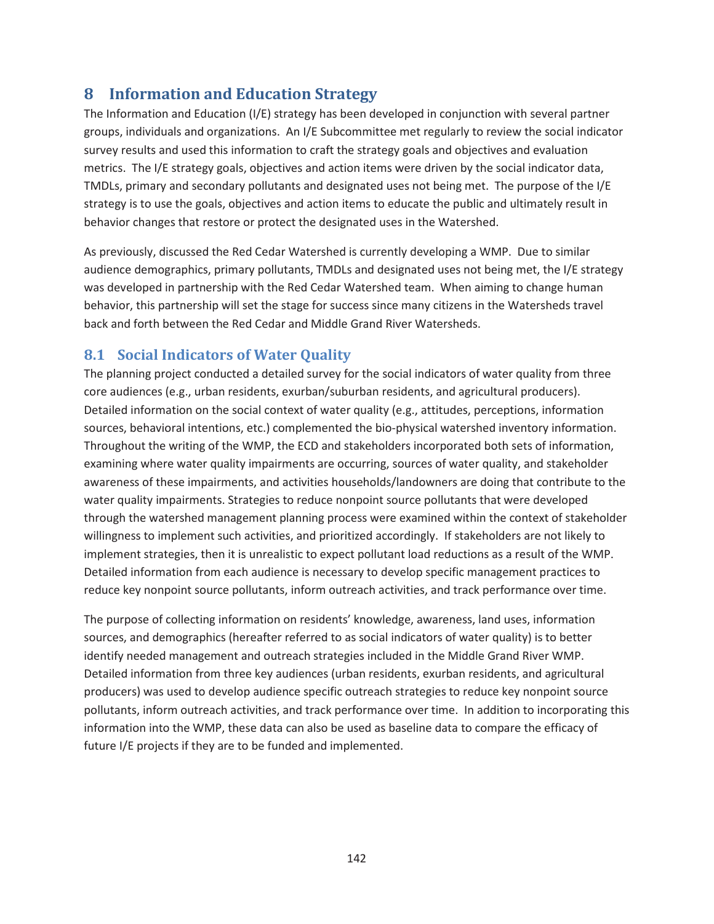# **8 Information and Education Strategy**

The Information and Education (I/E) strategy has been developed in conjunction with several partner groups, individuals and organizations. An I/E Subcommittee met regularly to review the social indicator survey results and used this information to craft the strategy goals and objectives and evaluation metrics. The I/E strategy goals, objectives and action items were driven by the social indicator data, TMDLs, primary and secondary pollutants and designated uses not being met. The purpose of the I/E strategy is to use the goals, objectives and action items to educate the public and ultimately result in behavior changes that restore or protect the designated uses in the Watershed.

As previously, discussed the Red Cedar Watershed is currently developing a WMP. Due to similar audience demographics, primary pollutants, TMDLs and designated uses not being met, the I/E strategy was developed in partnership with the Red Cedar Watershed team. When aiming to change human behavior, this partnership will set the stage for success since many citizens in the Watersheds travel back and forth between the Red Cedar and Middle Grand River Watersheds.

# **8.1 Social Indicators of Water Quality**

The planning project conducted a detailed survey for the social indicators of water quality from three core audiences (e.g., urban residents, exurban/suburban residents, and agricultural producers). Detailed information on the social context of water quality (e.g., attitudes, perceptions, information sources, behavioral intentions, etc.) complemented the bio-physical watershed inventory information. Throughout the writing of the WMP, the ECD and stakeholders incorporated both sets of information, examining where water quality impairments are occurring, sources of water quality, and stakeholder awareness of these impairments, and activities households/landowners are doing that contribute to the water quality impairments. Strategies to reduce nonpoint source pollutants that were developed through the watershed management planning process were examined within the context of stakeholder willingness to implement such activities, and prioritized accordingly. If stakeholders are not likely to implement strategies, then it is unrealistic to expect pollutant load reductions as a result of the WMP. Detailed information from each audience is necessary to develop specific management practices to reduce key nonpoint source pollutants, inform outreach activities, and track performance over time.

The purpose of collecting information on residents' knowledge, awareness, land uses, information sources, and demographics (hereafter referred to as social indicators of water quality) is to better identify needed management and outreach strategies included in the Middle Grand River WMP. Detailed information from three key audiences (urban residents, exurban residents, and agricultural producers) was used to develop audience specific outreach strategies to reduce key nonpoint source pollutants, inform outreach activities, and track performance over time. In addition to incorporating this information into the WMP, these data can also be used as baseline data to compare the efficacy of future I/E projects if they are to be funded and implemented.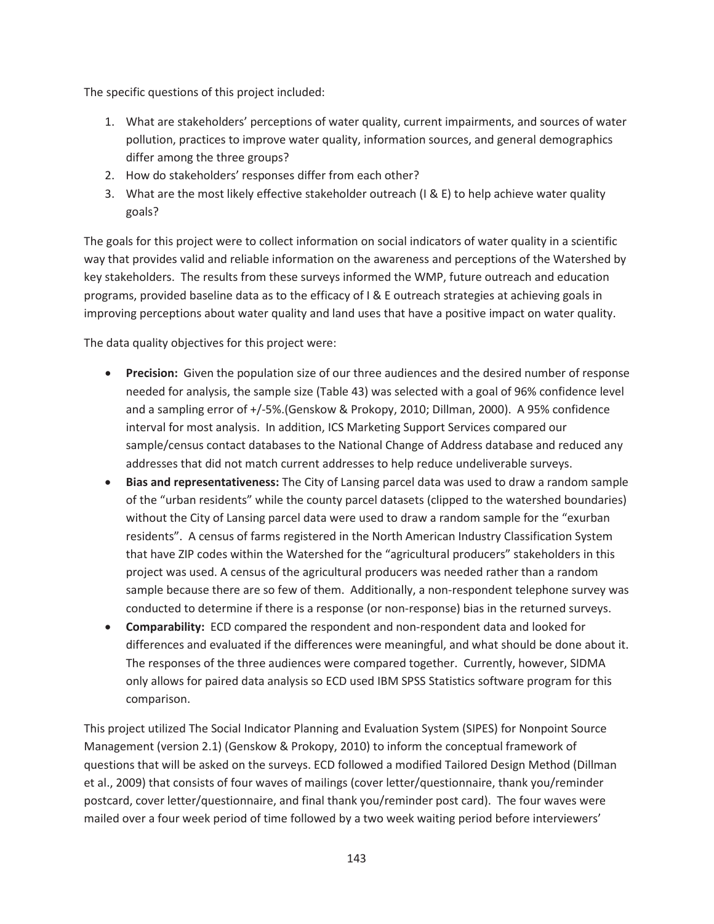The specific questions of this project included:

- 1. What are stakeholders' perceptions of water quality, current impairments, and sources of water pollution, practices to improve water quality, information sources, and general demographics differ among the three groups?
- 2. How do stakeholders' responses differ from each other?
- 3. What are the most likely effective stakeholder outreach (I & E) to help achieve water quality goals?

The goals for this project were to collect information on social indicators of water quality in a scientific way that provides valid and reliable information on the awareness and perceptions of the Watershed by key stakeholders. The results from these surveys informed the WMP, future outreach and education programs, provided baseline data as to the efficacy of I & E outreach strategies at achieving goals in improving perceptions about water quality and land uses that have a positive impact on water quality.

The data quality objectives for this project were:

- **Precision:** Given the population size of our three audiences and the desired number of response needed for analysis, the sample size (Table 43) was selected with a goal of 96% confidence level and a sampling error of +/-5%.(Genskow & Prokopy, 2010; Dillman, 2000). A 95% confidence interval for most analysis. In addition, ICS Marketing Support Services compared our sample/census contact databases to the National Change of Address database and reduced any addresses that did not match current addresses to help reduce undeliverable surveys.
- x **Bias and representativeness:** The City of Lansing parcel data was used to draw a random sample of the "urban residents" while the county parcel datasets (clipped to the watershed boundaries) without the City of Lansing parcel data were used to draw a random sample for the "exurban residents". A census of farms registered in the North American Industry Classification System that have ZIP codes within the Watershed for the "agricultural producers" stakeholders in this project was used. A census of the agricultural producers was needed rather than a random sample because there are so few of them. Additionally, a non-respondent telephone survey was conducted to determine if there is a response (or non-response) bias in the returned surveys.
- **Comparability:** ECD compared the respondent and non-respondent data and looked for differences and evaluated if the differences were meaningful, and what should be done about it. The responses of the three audiences were compared together. Currently, however, SIDMA only allows for paired data analysis so ECD used IBM SPSS Statistics software program for this comparison.

This project utilized The Social Indicator Planning and Evaluation System (SIPES) for Nonpoint Source Management (version 2.1) (Genskow & Prokopy, 2010) to inform the conceptual framework of questions that will be asked on the surveys. ECD followed a modified Tailored Design Method (Dillman et al., 2009) that consists of four waves of mailings (cover letter/questionnaire, thank you/reminder postcard, cover letter/questionnaire, and final thank you/reminder post card). The four waves were mailed over a four week period of time followed by a two week waiting period before interviewers'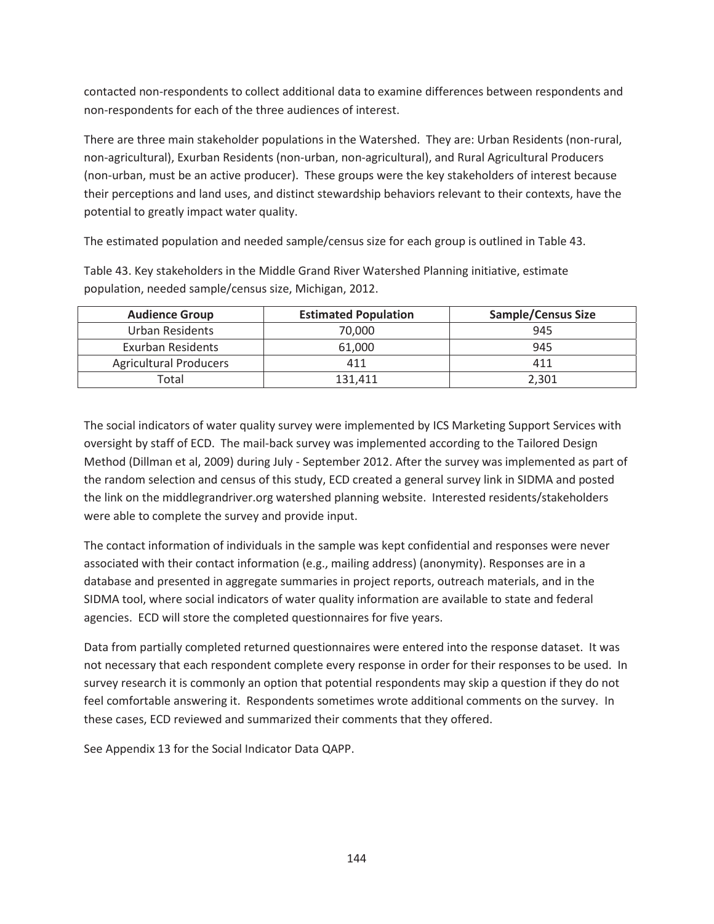contacted non-respondents to collect additional data to examine differences between respondents and non-respondents for each of the three audiences of interest.

There are three main stakeholder populations in the Watershed. They are: Urban Residents (non-rural, non-agricultural), Exurban Residents (non-urban, non-agricultural), and Rural Agricultural Producers (non-urban, must be an active producer). These groups were the key stakeholders of interest because their perceptions and land uses, and distinct stewardship behaviors relevant to their contexts, have the potential to greatly impact water quality.

The estimated population and needed sample/census size for each group is outlined in Table 43.

Table 43. Key stakeholders in the Middle Grand River Watershed Planning initiative, estimate population, needed sample/census size, Michigan, 2012.

| <b>Audience Group</b>         | <b>Estimated Population</b> | <b>Sample/Census Size</b> |
|-------------------------------|-----------------------------|---------------------------|
| Urban Residents               | 70.000                      | 945                       |
| Exurban Residents             | 61,000                      | 945                       |
| <b>Agricultural Producers</b> |                             | 411                       |
| Total                         | 131.411                     | 2,301                     |

The social indicators of water quality survey were implemented by ICS Marketing Support Services with oversight by staff of ECD. The mail-back survey was implemented according to the Tailored Design Method (Dillman et al, 2009) during July - September 2012. After the survey was implemented as part of the random selection and census of this study, ECD created a general survey link in SIDMA and posted the link on the middlegrandriver.org watershed planning website. Interested residents/stakeholders were able to complete the survey and provide input.

The contact information of individuals in the sample was kept confidential and responses were never associated with their contact information (e.g., mailing address) (anonymity). Responses are in a database and presented in aggregate summaries in project reports, outreach materials, and in the SIDMA tool, where social indicators of water quality information are available to state and federal agencies. ECD will store the completed questionnaires for five years.

Data from partially completed returned questionnaires were entered into the response dataset. It was not necessary that each respondent complete every response in order for their responses to be used. In survey research it is commonly an option that potential respondents may skip a question if they do not feel comfortable answering it. Respondents sometimes wrote additional comments on the survey. In these cases, ECD reviewed and summarized their comments that they offered.

See Appendix 13 for the Social Indicator Data QAPP.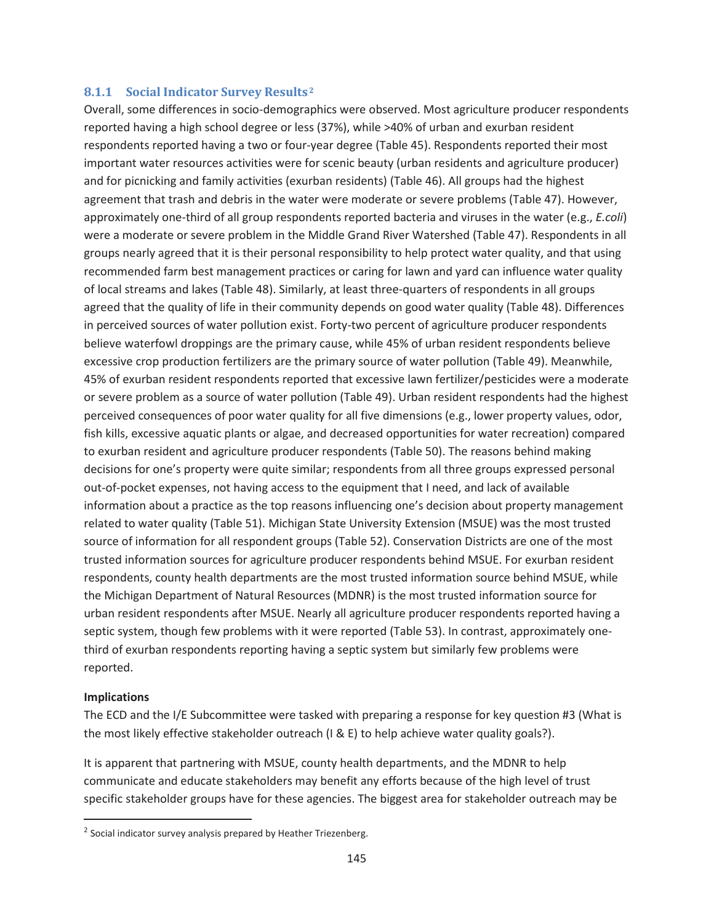#### **8.1.1 Social Indicator Survey Results**.<sup>2</sup>

Overall, some differences in socio-demographics were observed. Most agriculture producer respondents reported having a high school degree or less (37%), while >40% of urban and exurban resident respondents reported having a two or four-year degree (Table 45). Respondents reported their most important water resources activities were for scenic beauty (urban residents and agriculture producer) and for picnicking and family activities (exurban residents) (Table 46). All groups had the highest agreement that trash and debris in the water were moderate or severe problems (Table 47). However, approximately one-third of all group respondents reported bacteria and viruses in the water (e.g., *E.coli*) were a moderate or severe problem in the Middle Grand River Watershed (Table 47). Respondents in all groups nearly agreed that it is their personal responsibility to help protect water quality, and that using recommended farm best management practices or caring for lawn and yard can influence water quality of local streams and lakes (Table 48). Similarly, at least three-quarters of respondents in all groups agreed that the quality of life in their community depends on good water quality (Table 48). Differences in perceived sources of water pollution exist. Forty-two percent of agriculture producer respondents believe waterfowl droppings are the primary cause, while 45% of urban resident respondents believe excessive crop production fertilizers are the primary source of water pollution (Table 49). Meanwhile, 45% of exurban resident respondents reported that excessive lawn fertilizer/pesticides were a moderate or severe problem as a source of water pollution (Table 49). Urban resident respondents had the highest perceived consequences of poor water quality for all five dimensions (e.g., lower property values, odor, fish kills, excessive aquatic plants or algae, and decreased opportunities for water recreation) compared to exurban resident and agriculture producer respondents (Table 50). The reasons behind making decisions for one's property were quite similar; respondents from all three groups expressed personal out-of-pocket expenses, not having access to the equipment that I need, and lack of available information about a practice as the top reasons influencing one's decision about property management related to water quality (Table 51). Michigan State University Extension (MSUE) was the most trusted source of information for all respondent groups (Table 52). Conservation Districts are one of the most trusted information sources for agriculture producer respondents behind MSUE. For exurban resident respondents, county health departments are the most trusted information source behind MSUE, while the Michigan Department of Natural Resources (MDNR) is the most trusted information source for urban resident respondents after MSUE. Nearly all agriculture producer respondents reported having a septic system, though few problems with it were reported (Table 53). In contrast, approximately onethird of exurban respondents reporting having a septic system but similarly few problems were reported.

#### **Implications**

 $\overline{a}$ 

The ECD and the I/E Subcommittee were tasked with preparing a response for key question #3 (What is the most likely effective stakeholder outreach (I & E) to help achieve water quality goals?).

It is apparent that partnering with MSUE, county health departments, and the MDNR to help communicate and educate stakeholders may benefit any efforts because of the high level of trust specific stakeholder groups have for these agencies. The biggest area for stakeholder outreach may be

 $2$  Social indicator survey analysis prepared by Heather Triezenberg.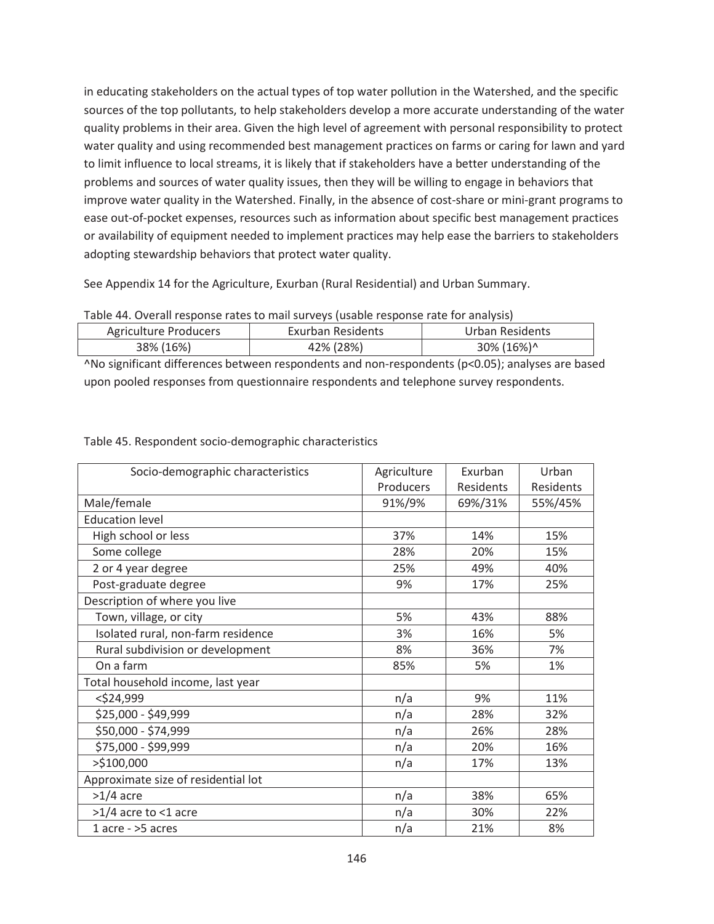in educating stakeholders on the actual types of top water pollution in the Watershed, and the specific sources of the top pollutants, to help stakeholders develop a more accurate understanding of the water quality problems in their area. Given the high level of agreement with personal responsibility to protect water quality and using recommended best management practices on farms or caring for lawn and yard to limit influence to local streams, it is likely that if stakeholders have a better understanding of the problems and sources of water quality issues, then they will be willing to engage in behaviors that improve water quality in the Watershed. Finally, in the absence of cost-share or mini-grant programs to ease out-of-pocket expenses, resources such as information about specific best management practices or availability of equipment needed to implement practices may help ease the barriers to stakeholders adopting stewardship behaviors that protect water quality.

See Appendix 14 for the Agriculture, Exurban (Rural Residential) and Urban Summary.

| Table 44. Overall response rates to mail surveys (usable response rate for analysis) |  |  |
|--------------------------------------------------------------------------------------|--|--|
|                                                                                      |  |  |

| Agriculture Producers | Exurban Residents | Urban Residents |
|-----------------------|-------------------|-----------------|
| 38% (16%)             | 42% (28%)         | 30% (16%)^      |

^No significant differences between respondents and non-respondents (p<0.05); analyses are based upon pooled responses from questionnaire respondents and telephone survey respondents.

| Socio-demographic characteristics   | Agriculture | Exurban   | Urban     |
|-------------------------------------|-------------|-----------|-----------|
|                                     | Producers   | Residents | Residents |
| Male/female                         | 91%/9%      | 69%/31%   | 55%/45%   |
| <b>Education level</b>              |             |           |           |
| High school or less                 | 37%         | 14%       | 15%       |
| Some college                        | 28%         | 20%       | 15%       |
| 2 or 4 year degree                  | 25%         | 49%       | 40%       |
| Post-graduate degree                | 9%          | 17%       | 25%       |
| Description of where you live       |             |           |           |
| Town, village, or city              | 5%          | 43%       | 88%       |
| Isolated rural, non-farm residence  | 3%          | 16%       | 5%        |
| Rural subdivision or development    | 8%          | 36%       | 7%        |
| On a farm                           | 85%         | 5%        | 1%        |
| Total household income, last year   |             |           |           |
| $<$ \$24,999                        | n/a         | 9%        | 11%       |
| \$25,000 - \$49,999                 | n/a         | 28%       | 32%       |
| \$50,000 - \$74,999                 | n/a         | 26%       | 28%       |
| \$75,000 - \$99,999                 | n/a         | 20%       | 16%       |
| >\$100,000                          | n/a         | 17%       | 13%       |
| Approximate size of residential lot |             |           |           |
| $>1/4$ acre                         | n/a         | 38%       | 65%       |
| $>1/4$ acre to <1 acre              | n/a         | 30%       | 22%       |
| $1$ acre - $>5$ acres               | n/a         | 21%       | 8%        |

Table 45. Respondent socio-demographic characteristics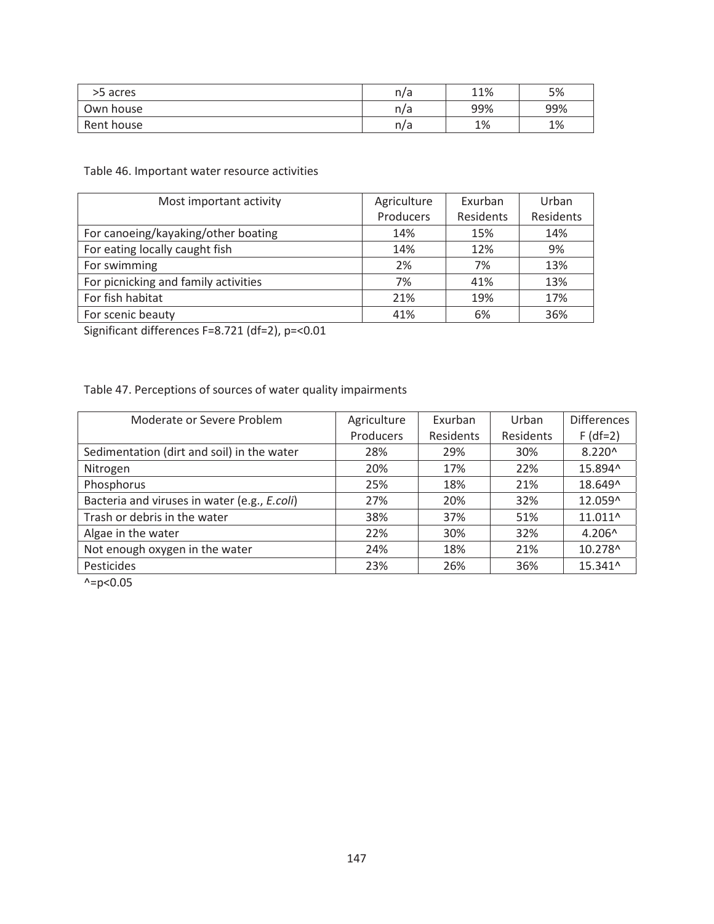| >5 acres   | n/a | 11% | 5%  |
|------------|-----|-----|-----|
| Own house  | n/a | 99% | 99% |
| Rent house | n/a | 1%  | 1%  |

Table 46. Important water resource activities

| Most important activity              | Agriculture | Exurban   | Urban     |
|--------------------------------------|-------------|-----------|-----------|
|                                      | Producers   | Residents | Residents |
| For canoeing/kayaking/other boating  | 14%         | 15%       | 14%       |
| For eating locally caught fish       | 14%         | 12%       | 9%        |
| For swimming                         | 2%          | 7%        | 13%       |
| For picnicking and family activities | 7%          | 41%       | 13%       |
| For fish habitat                     | 21%         | 19%       | 17%       |
| For scenic beauty                    | 41%         | 6%        | 36%       |

Significant differences F=8.721 (df=2), p=<0.01

## Table 47. Perceptions of sources of water quality impairments

| Moderate or Severe Problem                   | Agriculture | Exurban   | Urban     | <b>Differences</b> |
|----------------------------------------------|-------------|-----------|-----------|--------------------|
|                                              | Producers   | Residents | Residents | $F$ (df=2)         |
| Sedimentation (dirt and soil) in the water   | 28%         | 29%       | 30%       | $8.220^{\circ}$    |
| Nitrogen                                     | 20%         | 17%       | 22%       | 15.894^            |
| Phosphorus                                   | 25%         | 18%       | 21%       | 18.649^            |
| Bacteria and viruses in water (e.g., E.coli) | 27%         | 20%       | 32%       | 12.059^            |
| Trash or debris in the water                 | 38%         | 37%       | 51%       | 11.011^            |
| Algae in the water                           | 22%         | 30%       | 32%       | $4.206^{\circ}$    |
| Not enough oxygen in the water               | 24%         | 18%       | 21%       | 10.278^            |
| Pesticides                                   | 23%         | 26%       | 36%       | 15.341^            |

 $^{\prime}$  =p<0.05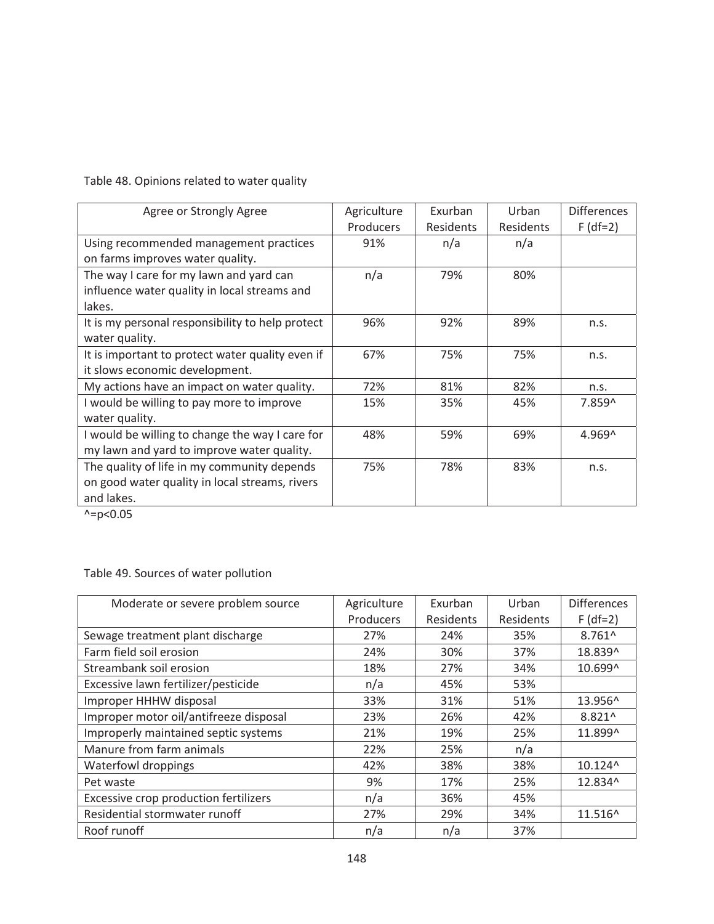Table 48. Opinions related to water quality

| Agree or Strongly Agree                          | Agriculture | Exurban   | Urban     | <b>Differences</b> |
|--------------------------------------------------|-------------|-----------|-----------|--------------------|
|                                                  | Producers   | Residents | Residents | $F$ (df=2)         |
| Using recommended management practices           | 91%         | n/a       | n/a       |                    |
| on farms improves water quality.                 |             |           |           |                    |
| The way I care for my lawn and yard can          | n/a         | 79%       | 80%       |                    |
| influence water quality in local streams and     |             |           |           |                    |
| lakes.                                           |             |           |           |                    |
| It is my personal responsibility to help protect | 96%         | 92%       | 89%       | n.S.               |
| water quality.                                   |             |           |           |                    |
| It is important to protect water quality even if | 67%         | 75%       | 75%       | n.s.               |
| it slows economic development.                   |             |           |           |                    |
| My actions have an impact on water quality.      | 72%         | 81%       | 82%       | n.s.               |
| I would be willing to pay more to improve        | 15%         | 35%       | 45%       | 7.859^             |
| water quality.                                   |             |           |           |                    |
| I would be willing to change the way I care for  | 48%         | 59%       | 69%       | 4.969^             |
| my lawn and yard to improve water quality.       |             |           |           |                    |
| The quality of life in my community depends      | 75%         | 78%       | 83%       | n.s.               |
| on good water quality in local streams, rivers   |             |           |           |                    |
| and lakes.                                       |             |           |           |                    |

 $\lambda = p < 0.05$ 

Table 49. Sources of water pollution

| Moderate or severe problem source      | Agriculture | Exurban   | Urban     | <b>Differences</b> |
|----------------------------------------|-------------|-----------|-----------|--------------------|
|                                        | Producers   | Residents | Residents | $F$ (df=2)         |
| Sewage treatment plant discharge       | 27%         | 24%       | 35%       | $8.761^$           |
| Farm field soil erosion                | 24%         | 30%       | 37%       | 18.839^            |
| Streambank soil erosion                | 18%         | 27%       | 34%       | 10.699^            |
| Excessive lawn fertilizer/pesticide    | n/a         | 45%       | 53%       |                    |
| Improper HHHW disposal                 | 33%         | 31%       | 51%       | 13.956^            |
| Improper motor oil/antifreeze disposal | 23%         | 26%       | 42%       | 8.821^             |
| Improperly maintained septic systems   | 21%         | 19%       | 25%       | 11.899^            |
| Manure from farm animals               | 22%         | 25%       | n/a       |                    |
| Waterfowl droppings                    | 42%         | 38%       | 38%       | 10.124^            |
| Pet waste                              | 9%          | 17%       | 25%       | 12.834^            |
| Excessive crop production fertilizers  | n/a         | 36%       | 45%       |                    |
| Residential stormwater runoff          | 27%         | 29%       | 34%       | 11.516^            |
| Roof runoff                            | n/a         | n/a       | 37%       |                    |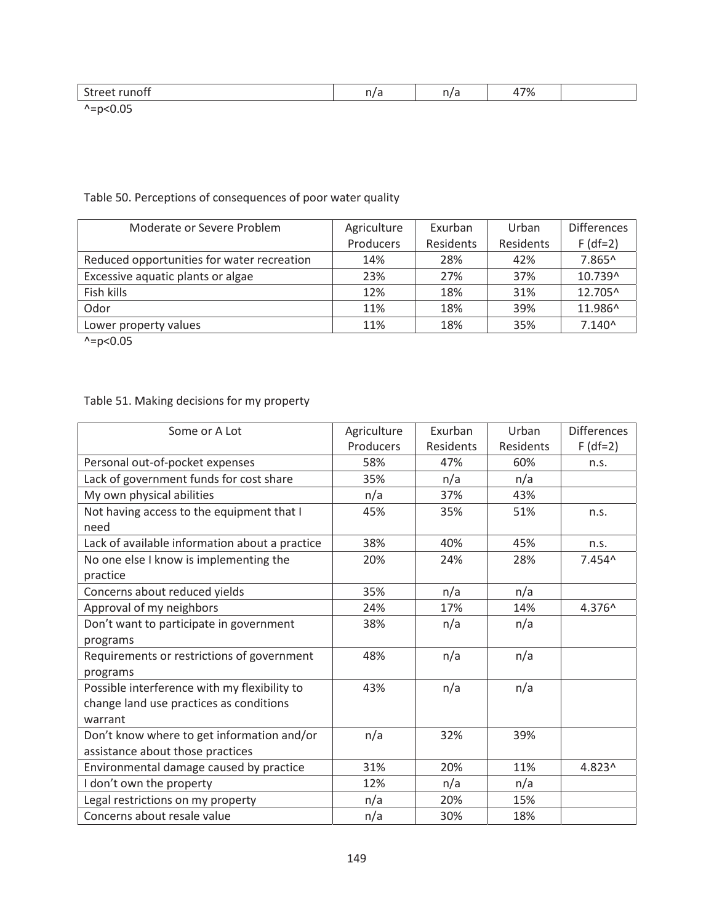| - -<br>$\sim$<br>.                            |  | 170<br>7٥ |  |
|-----------------------------------------------|--|-----------|--|
| $\sim$ $\sim$ $\sim$ $\sim$<br>$\overline{ }$ |  |           |  |

 $^{\wedge}$  = p<0.05

## Table 50. Perceptions of consequences of poor water quality

| Moderate or Severe Problem                 | Agriculture | Exurban   | Urban     | <b>Differences</b> |
|--------------------------------------------|-------------|-----------|-----------|--------------------|
|                                            | Producers   | Residents | Residents | $F$ (df=2)         |
| Reduced opportunities for water recreation | 14%         | 28%       | 42%       | 7.865^             |
| Excessive aquatic plants or algae          | 23%         | 27%       | 37%       | 10.739^            |
| Fish kills                                 | 12%         | 18%       | 31%       | 12.705^            |
| Odor                                       | 11%         | 18%       | 39%       | 11.986^            |
| Lower property values                      | 11%         | 18%       | 35%       | $7.140^$           |

 $^{\prime}$  =p<0.05

# Table 51. Making decisions for my property

| Some or A Lot                                     | Agriculture | Exurban          | Urban            | <b>Differences</b> |
|---------------------------------------------------|-------------|------------------|------------------|--------------------|
|                                                   | Producers   | <b>Residents</b> | <b>Residents</b> | $F$ (df=2)         |
| Personal out-of-pocket expenses                   | 58%         | 47%              | 60%              | n.s.               |
| Lack of government funds for cost share           | 35%         | n/a              | n/a              |                    |
| My own physical abilities                         | n/a         | 37%              | 43%              |                    |
| Not having access to the equipment that I<br>need | 45%         | 35%              | 51%              | n.s.               |
| Lack of available information about a practice    | 38%         | 40%              | 45%              | n.s.               |
| No one else I know is implementing the            | 20%         | 24%              | 28%              | 7.454^             |
| practice                                          |             |                  |                  |                    |
| Concerns about reduced yields                     | 35%         | n/a              | n/a              |                    |
| Approval of my neighbors                          | 24%         | 17%              | 14%              | 4.376^             |
| Don't want to participate in government           | 38%         | n/a              | n/a              |                    |
| programs                                          |             |                  |                  |                    |
| Requirements or restrictions of government        | 48%         | n/a              | n/a              |                    |
| programs                                          |             |                  |                  |                    |
| Possible interference with my flexibility to      | 43%         | n/a              | n/a              |                    |
| change land use practices as conditions           |             |                  |                  |                    |
| warrant                                           |             |                  |                  |                    |
| Don't know where to get information and/or        | n/a         | 32%              | 39%              |                    |
| assistance about those practices                  |             |                  |                  |                    |
| Environmental damage caused by practice           | 31%         | 20%              | 11%              | 4.823^             |
| I don't own the property                          | 12%         | n/a              | n/a              |                    |
| Legal restrictions on my property                 | n/a         | 20%              | 15%              |                    |
| Concerns about resale value                       | n/a         | 30%              | 18%              |                    |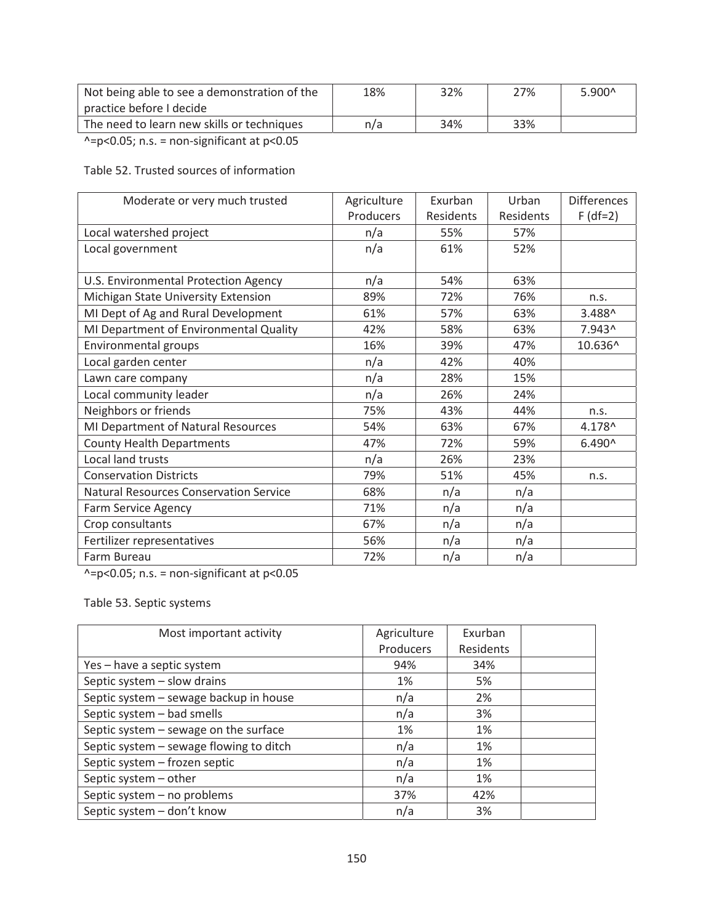| Not being able to see a demonstration of the<br>practice before I decide | 18% | 32% | 27% | $5.900^{\circ}$ |
|--------------------------------------------------------------------------|-----|-----|-----|-----------------|
| The need to learn new skills or techniques                               | n/a | 34% | 33% |                 |

 $\lambda = p < 0.05$ ; n.s. = non-significant at p<0.05

Table 52. Trusted sources of information

| Moderate or very much trusted                 | Agriculture | Exurban   | Urban     | <b>Differences</b> |
|-----------------------------------------------|-------------|-----------|-----------|--------------------|
|                                               | Producers   | Residents | Residents | $F$ (df=2)         |
| Local watershed project                       | n/a         | 55%       | 57%       |                    |
| Local government                              | n/a         | 61%       | 52%       |                    |
|                                               |             |           |           |                    |
| U.S. Environmental Protection Agency          | n/a         | 54%       | 63%       |                    |
| Michigan State University Extension           | 89%         | 72%       | 76%       | n.s.               |
| MI Dept of Ag and Rural Development           | 61%         | 57%       | 63%       | 3.488^             |
| MI Department of Environmental Quality        | 42%         | 58%       | 63%       | 7.943^             |
| Environmental groups                          | 16%         | 39%       | 47%       | 10.636^            |
| Local garden center                           | n/a         | 42%       | 40%       |                    |
| Lawn care company                             | n/a         | 28%       | 15%       |                    |
| Local community leader                        | n/a         | 26%       | 24%       |                    |
| Neighbors or friends                          | 75%         | 43%       | 44%       | n.s.               |
| MI Department of Natural Resources            | 54%         | 63%       | 67%       | 4.178^             |
| <b>County Health Departments</b>              | 47%         | 72%       | 59%       | $6.490^{\circ}$    |
| Local land trusts                             | n/a         | 26%       | 23%       |                    |
| <b>Conservation Districts</b>                 | 79%         | 51%       | 45%       | n.s.               |
| <b>Natural Resources Conservation Service</b> | 68%         | n/a       | n/a       |                    |
| Farm Service Agency                           | 71%         | n/a       | n/a       |                    |
| Crop consultants                              | 67%         | n/a       | n/a       |                    |
| Fertilizer representatives                    | 56%         | n/a       | n/a       |                    |
| Farm Bureau                                   | 72%         | n/a       | n/a       |                    |

 $\lambda = p < 0.05$ ; n.s. = non-significant at p<0.05

Table 53. Septic systems

| Most important activity                 | Agriculture | Exurban   |  |
|-----------------------------------------|-------------|-----------|--|
|                                         | Producers   | Residents |  |
| Yes - have a septic system              | 94%         | 34%       |  |
| Septic system - slow drains             | 1%          | 5%        |  |
| Septic system - sewage backup in house  | n/a         | 2%        |  |
| Septic system - bad smells              | n/a         | 3%        |  |
| Septic system - sewage on the surface   | 1%          | 1%        |  |
| Septic system - sewage flowing to ditch | n/a         | 1%        |  |
| Septic system - frozen septic           | n/a         | 1%        |  |
| Septic system - other                   | n/a         | 1%        |  |
| Septic system - no problems             | 37%         | 42%       |  |
| Septic system - don't know              | n/a         | 3%        |  |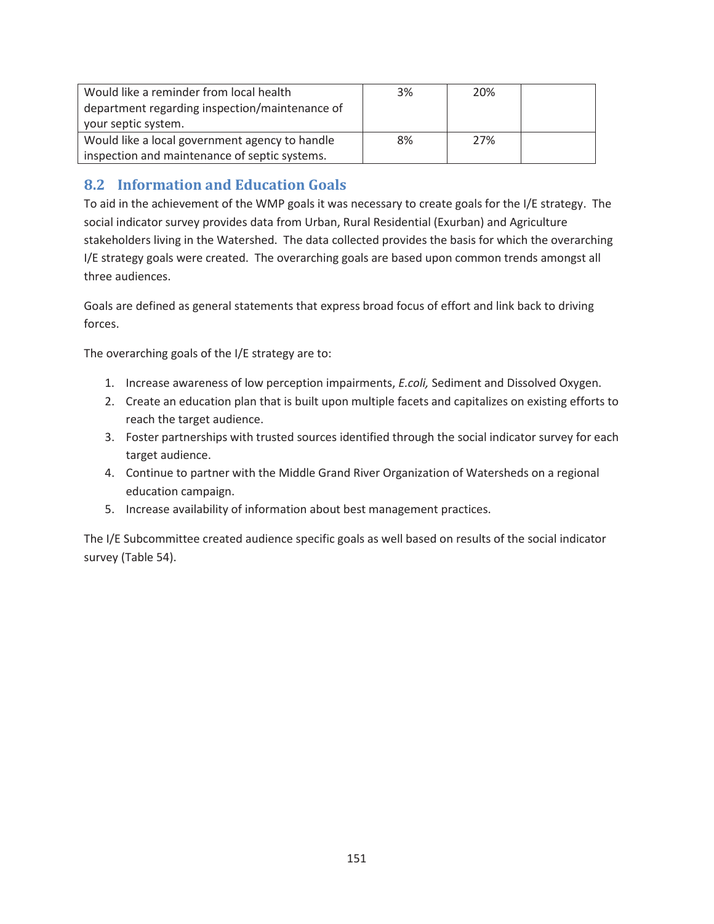| Would like a reminder from local health<br>department regarding inspection/maintenance of | 3% | 20% |  |
|-------------------------------------------------------------------------------------------|----|-----|--|
| your septic system.                                                                       |    |     |  |
| Would like a local government agency to handle                                            | 8% | 27% |  |
| inspection and maintenance of septic systems.                                             |    |     |  |

# **8.2 Information and Education Goals**

To aid in the achievement of the WMP goals it was necessary to create goals for the I/E strategy. The social indicator survey provides data from Urban, Rural Residential (Exurban) and Agriculture stakeholders living in the Watershed. The data collected provides the basis for which the overarching I/E strategy goals were created. The overarching goals are based upon common trends amongst all three audiences.

Goals are defined as general statements that express broad focus of effort and link back to driving forces.

The overarching goals of the I/E strategy are to:

- 1. Increase awareness of low perception impairments, *E.coli,* Sediment and Dissolved Oxygen.
- 2. Create an education plan that is built upon multiple facets and capitalizes on existing efforts to reach the target audience.
- 3. Foster partnerships with trusted sources identified through the social indicator survey for each target audience.
- 4. Continue to partner with the Middle Grand River Organization of Watersheds on a regional education campaign.
- 5. Increase availability of information about best management practices.

The I/E Subcommittee created audience specific goals as well based on results of the social indicator survey (Table 54).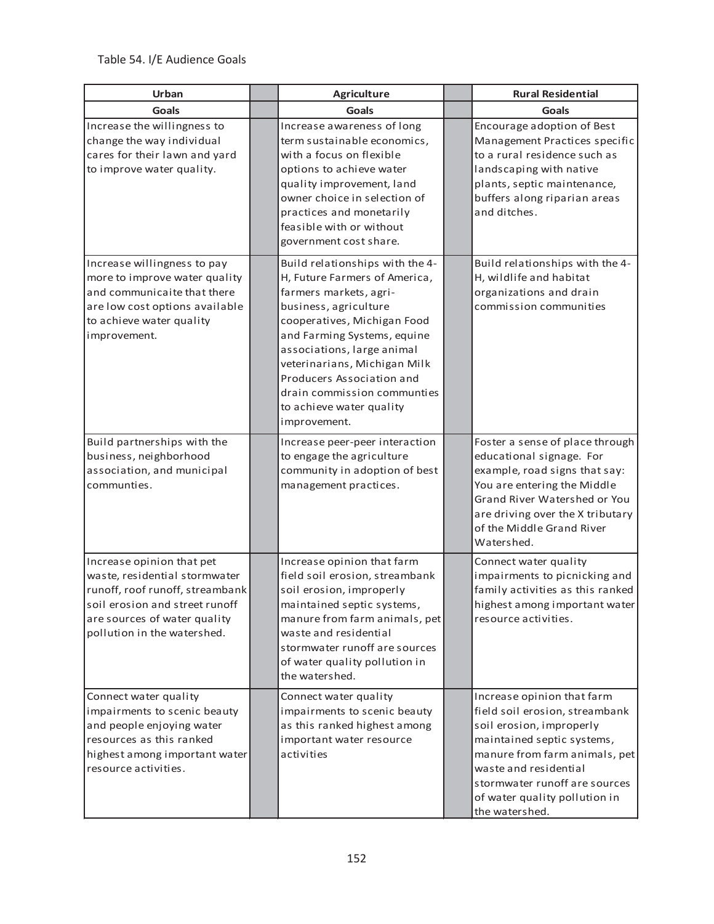| Urban                                                                                                                                                                                          | Agriculture                                                                                                                                                                                                                                                                                                                                             | <b>Rural Residential</b>                                                                                                                                                                                                                                             |
|------------------------------------------------------------------------------------------------------------------------------------------------------------------------------------------------|---------------------------------------------------------------------------------------------------------------------------------------------------------------------------------------------------------------------------------------------------------------------------------------------------------------------------------------------------------|----------------------------------------------------------------------------------------------------------------------------------------------------------------------------------------------------------------------------------------------------------------------|
| <b>Goals</b>                                                                                                                                                                                   | Goals                                                                                                                                                                                                                                                                                                                                                   | Goals                                                                                                                                                                                                                                                                |
| Increase the willingness to<br>change the way individual<br>cares for their lawn and yard<br>to improve water quality.                                                                         | Increase awareness of long<br>term sustainable economics,<br>with a focus on flexible<br>options to achieve water<br>quality improvement, land<br>owner choice in selection of<br>practices and monetarily<br>feasible with or without<br>government cost share.                                                                                        | Encourage adoption of Best<br>Management Practices specific<br>to a rural residence such as<br>landscaping with native<br>plants, septic maintenance,<br>buffers along riparian areas<br>and ditches.                                                                |
| Increase willingness to pay<br>more to improve water quality<br>and communicaite that there<br>are low cost options available<br>to achieve water quality<br>improvement.                      | Build relationships with the 4-<br>H, Future Farmers of America,<br>farmers markets, agri-<br>business, agriculture<br>cooperatives, Michigan Food<br>and Farming Systems, equine<br>associations, large animal<br>veterinarians, Michigan Milk<br>Producers Association and<br>drain commission communties<br>to achieve water quality<br>improvement. | Build relationships with the 4-<br>H, wildlife and habitat<br>organizations and drain<br>commission communities                                                                                                                                                      |
| Build partnerships with the<br>business, neighborhood<br>association, and municipal<br>communties.                                                                                             | Increase peer-peer interaction<br>to engage the agriculture<br>community in adoption of best<br>management practices.                                                                                                                                                                                                                                   | Foster a sense of place through<br>educational signage. For<br>example, road signs that say:<br>You are entering the Middle<br>Grand River Watershed or You<br>are driving over the X tributary<br>of the Middle Grand River<br>Watershed.                           |
| Increase opinion that pet<br>waste, residential stormwater<br>runoff, roof runoff, streambank<br>soil erosion and street runoff<br>are sources of water quality<br>pollution in the watershed. | Increase opinion that farm<br>field soil erosion, streambank<br>soil erosion, improperly<br>maintained septic systems,<br>manure from farm animals, pet<br>waste and residential<br>stormwater runoff are sources<br>of water quality pollution in<br>the watershed.                                                                                    | Connect water quality<br>impairments to picnicking and<br>family activities as this ranked<br>highest among important water<br>resource activities.                                                                                                                  |
| Connect water quality<br>impairments to scenic beauty<br>and people enjoying water<br>resources as this ranked<br>highest among important water<br>resource activities.                        | Connect water quality<br>impairments to scenic beauty<br>as this ranked highest among<br>important water resource<br>activities                                                                                                                                                                                                                         | Increase opinion that farm<br>field soil erosion, streambank<br>soil erosion, improperly<br>maintained septic systems,<br>manure from farm animals, pet<br>waste and residential<br>stormwater runoff are sources<br>of water quality pollution in<br>the watershed. |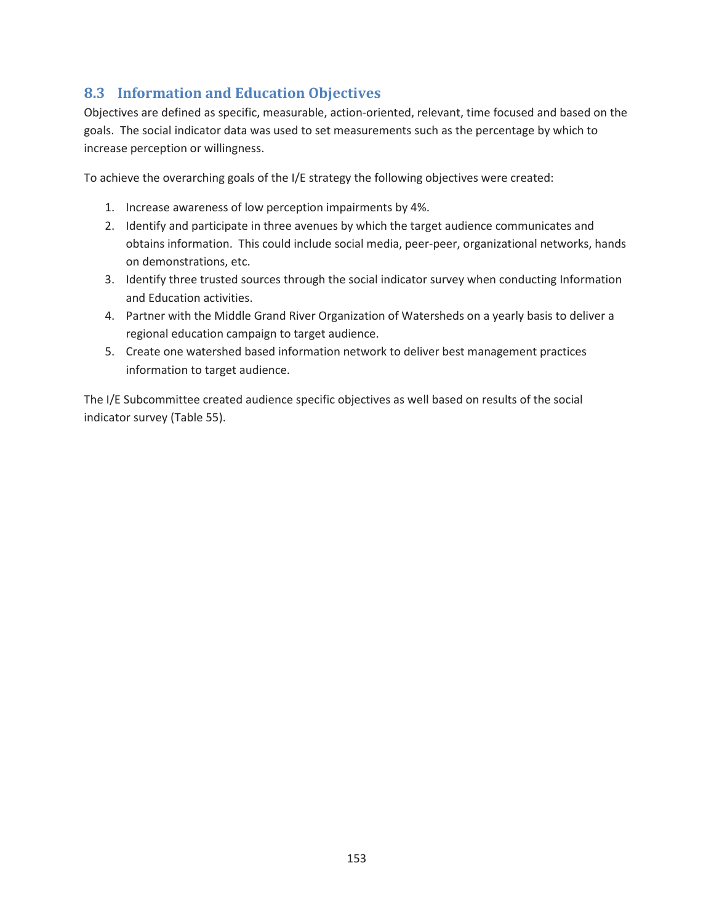# **8.3 Information and Education Objectives**

Objectives are defined as specific, measurable, action-oriented, relevant, time focused and based on the goals. The social indicator data was used to set measurements such as the percentage by which to increase perception or willingness.

To achieve the overarching goals of the I/E strategy the following objectives were created:

- 1. Increase awareness of low perception impairments by 4%.
- 2. Identify and participate in three avenues by which the target audience communicates and obtains information. This could include social media, peer-peer, organizational networks, hands on demonstrations, etc.
- 3. Identify three trusted sources through the social indicator survey when conducting Information and Education activities.
- 4. Partner with the Middle Grand River Organization of Watersheds on a yearly basis to deliver a regional education campaign to target audience.
- 5. Create one watershed based information network to deliver best management practices information to target audience.

The I/E Subcommittee created audience specific objectives as well based on results of the social indicator survey (Table 55).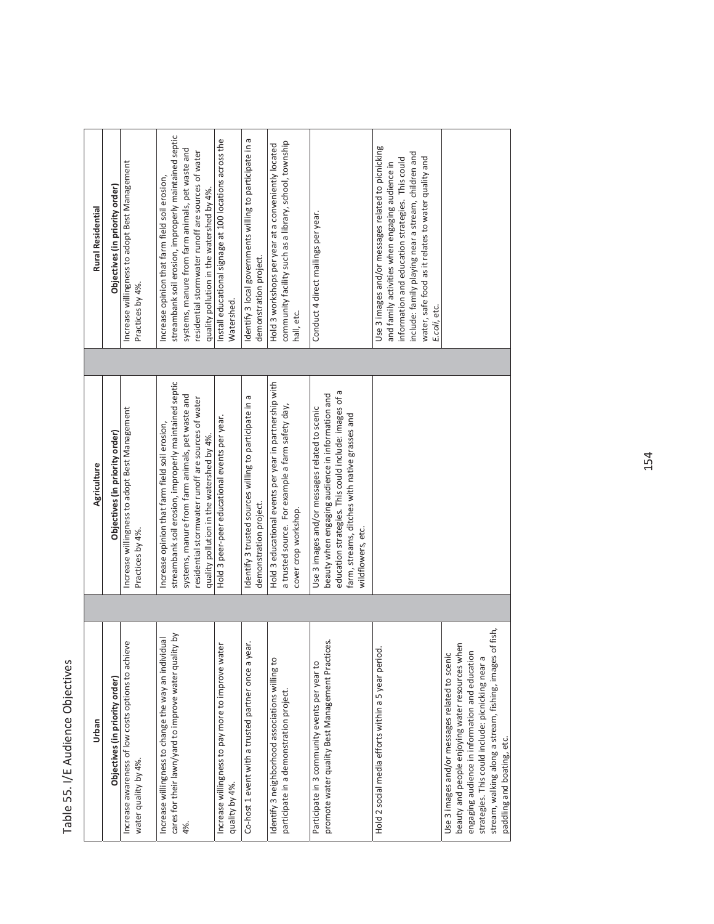# Table 55. I/E Audience Objectives /E Audience Objectives Table 55. I

| <b>Rural Residential</b> | Objectives (in priority order) | Increase willingness to adopt Best Management<br>Practices by 4%.               | streambank soil erosion, improperly maintained septic<br>systems, manure from farm animals, pet waste and<br>residential stormwater runoff are sources of water<br>Increase opinion that farm field soil erosion,<br>quality pollution in the watershed by 4%. | Identify 3 local governments willing to participate in a<br>Install educational signage at 100 locations across the<br>demonstration project.<br>Watershed. | community facility such as a library, school, township<br>Hold 3 workshops per year at a conveniently located<br>hall, etc.        | Conduct 4 direct mailings per year.                                                                                                                                                                                                | Use 3 images and/or messages related to picnicking<br>include: family playing near a stream, children and<br>water, safe food as it relates to water quality and<br>information and education strategies. This could<br>and family activities when engaging audience in<br>E.coli, etc. |                                                                                                                                                                                                                                                                      |
|--------------------------|--------------------------------|---------------------------------------------------------------------------------|----------------------------------------------------------------------------------------------------------------------------------------------------------------------------------------------------------------------------------------------------------------|-------------------------------------------------------------------------------------------------------------------------------------------------------------|------------------------------------------------------------------------------------------------------------------------------------|------------------------------------------------------------------------------------------------------------------------------------------------------------------------------------------------------------------------------------|-----------------------------------------------------------------------------------------------------------------------------------------------------------------------------------------------------------------------------------------------------------------------------------------|----------------------------------------------------------------------------------------------------------------------------------------------------------------------------------------------------------------------------------------------------------------------|
| Agriculture              | Objectives (in priority order) | Increase willingness to adopt Best Management<br>Practices by 4%.               | streambank soil erosion, improperly maintained septic<br>systems, manure from farm animals, pet waste and<br>residential stormwater runoff are sources of water<br>Increase opinion that farm field soil erosion,<br>quality pollution in the watershed by 4%. | Identify 3 trusted sources willing to participate in a<br>Hold 3 peer-peer educational events per year.<br>demonstration project.                           | Hold 3 educational events per year in partnership with<br>a trusted source. For example a farm safety day,<br>cover crop workshop. | education strategies. This could include: images of a<br>beauty when engaging audience in information and<br>Use 3 images and/or messages related to scenic<br>farm, streams, ditches with native grasses and<br>wildflowers, etc. |                                                                                                                                                                                                                                                                                         |                                                                                                                                                                                                                                                                      |
| Urban                    | Objectives (in priority order) | ieve<br>Increase awareness of low costs options to achi<br>water quality by 4%. | cares for their lawn/yard to improve water quality by<br>Increase willingness to change the way an individual<br>4%.                                                                                                                                           | Co-host 1 event with a trusted partner once a year.<br>Increase willingness to pay more to improve water<br>quality by 4%.                                  | Identify 3 neighborhood associations willing to<br>participate in a demonstration project                                          | promote water quality Best Management Practices.<br>Participate in 3 community events per year to                                                                                                                                  | Hold 2 social media efforts within a 5 year period.                                                                                                                                                                                                                                     | stream, walking along a stream, fishing, images of fish,<br>beauty and people enjoying water resources when<br>engaging audience in information and education<br>Use 3 images and/or messages related to scenic<br>strategies. This could include: picnicking near a |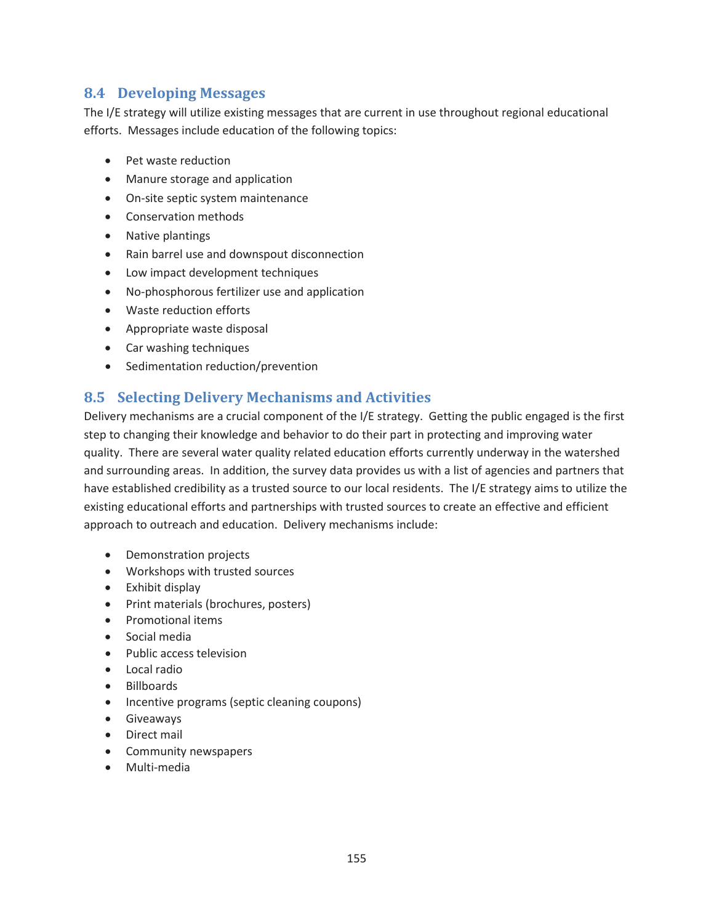## **8.4 Developing Messages**

The I/E strategy will utilize existing messages that are current in use throughout regional educational efforts. Messages include education of the following topics:

- Pet waste reduction
- Manure storage and application
- On-site septic system maintenance
- Conservation methods
- Native plantings
- Rain barrel use and downspout disconnection
- Low impact development techniques
- No-phosphorous fertilizer use and application
- Waste reduction efforts
- Appropriate waste disposal
- Car washing techniques
- Sedimentation reduction/prevention

## **8.5 Selecting Delivery Mechanisms and Activities**

Delivery mechanisms are a crucial component of the I/E strategy. Getting the public engaged is the first step to changing their knowledge and behavior to do their part in protecting and improving water quality. There are several water quality related education efforts currently underway in the watershed and surrounding areas. In addition, the survey data provides us with a list of agencies and partners that have established credibility as a trusted source to our local residents. The I/E strategy aims to utilize the existing educational efforts and partnerships with trusted sources to create an effective and efficient approach to outreach and education. Delivery mechanisms include:

- Demonstration projects
- Workshops with trusted sources
- $\bullet$  Exhibit display
- Print materials (brochures, posters)
- Promotional items
- $\bullet$  Social media
- Public access television
- Local radio
- Billboards
- Incentive programs (septic cleaning coupons)
- **•** Giveaways
- Direct mail
- Community newspapers
- Multi-media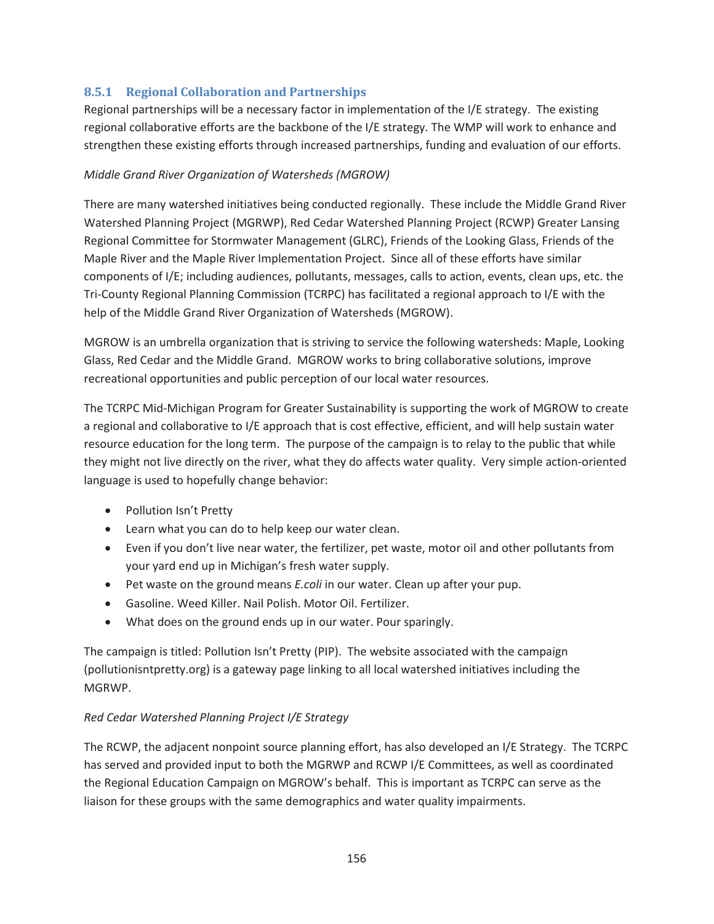## **8.5.1 Regional Collaboration and Partnerships**

Regional partnerships will be a necessary factor in implementation of the I/E strategy. The existing regional collaborative efforts are the backbone of the I/E strategy. The WMP will work to enhance and strengthen these existing efforts through increased partnerships, funding and evaluation of our efforts.

#### *Middle Grand River Organization of Watersheds (MGROW)*

There are many watershed initiatives being conducted regionally. These include the Middle Grand River Watershed Planning Project (MGRWP), Red Cedar Watershed Planning Project (RCWP) Greater Lansing Regional Committee for Stormwater Management (GLRC), Friends of the Looking Glass, Friends of the Maple River and the Maple River Implementation Project. Since all of these efforts have similar components of I/E; including audiences, pollutants, messages, calls to action, events, clean ups, etc. the Tri-County Regional Planning Commission (TCRPC) has facilitated a regional approach to I/E with the help of the Middle Grand River Organization of Watersheds (MGROW).

MGROW is an umbrella organization that is striving to service the following watersheds: Maple, Looking Glass, Red Cedar and the Middle Grand. MGROW works to bring collaborative solutions, improve recreational opportunities and public perception of our local water resources.

The TCRPC Mid-Michigan Program for Greater Sustainability is supporting the work of MGROW to create a regional and collaborative to I/E approach that is cost effective, efficient, and will help sustain water resource education for the long term. The purpose of the campaign is to relay to the public that while they might not live directly on the river, what they do affects water quality. Very simple action-oriented language is used to hopefully change behavior:

- Pollution Isn't Pretty
- Learn what you can do to help keep our water clean.
- Even if you don't live near water, the fertilizer, pet waste, motor oil and other pollutants from your yard end up in Michigan's fresh water supply.
- **•** Pet waste on the ground means *E.coli* in our water. Clean up after your pup.
- **•** Gasoline. Weed Killer. Nail Polish. Motor Oil. Fertilizer.
- What does on the ground ends up in our water. Pour sparingly.

The campaign is titled: Pollution Isn't Pretty (PIP). The website associated with the campaign (pollutionisntpretty.org) is a gateway page linking to all local watershed initiatives including the MGRWP.

#### *Red Cedar Watershed Planning Project I/E Strategy*

The RCWP, the adjacent nonpoint source planning effort, has also developed an I/E Strategy. The TCRPC has served and provided input to both the MGRWP and RCWP I/E Committees, as well as coordinated the Regional Education Campaign on MGROW's behalf. This is important as TCRPC can serve as the liaison for these groups with the same demographics and water quality impairments.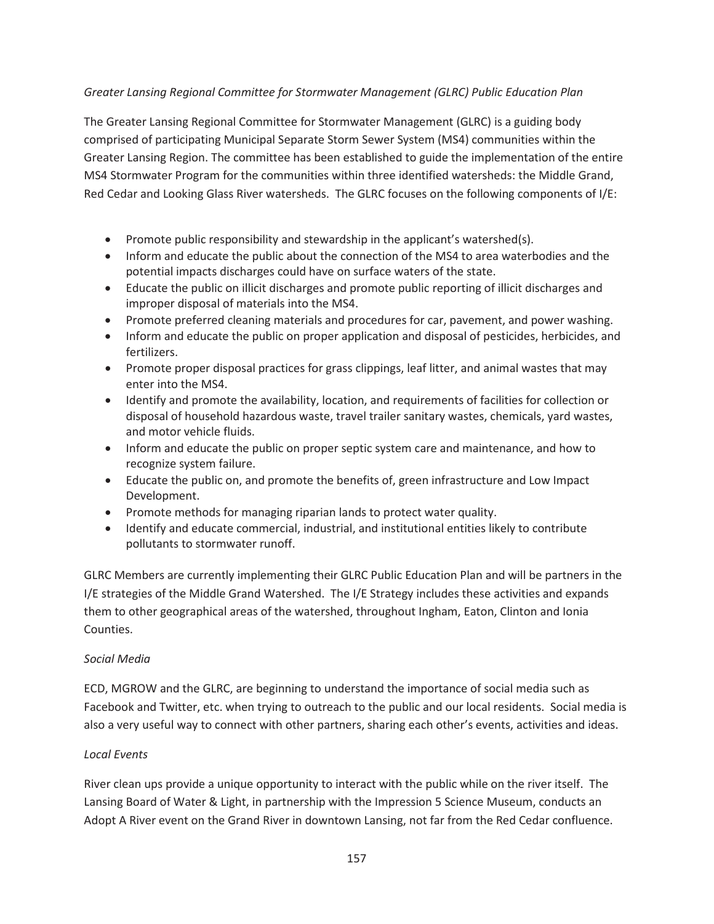### *Greater Lansing Regional Committee for Stormwater Management (GLRC) Public Education Plan*

The Greater Lansing Regional Committee for Stormwater Management (GLRC) is a guiding body comprised of participating Municipal Separate Storm Sewer System (MS4) communities within the Greater Lansing Region. The committee has been established to guide the implementation of the entire MS4 Stormwater Program for the communities within three identified watersheds: the Middle Grand, Red Cedar and Looking Glass River watersheds. The GLRC focuses on the following components of I/E:

- Promote public responsibility and stewardship in the applicant's watershed(s).
- Inform and educate the public about the connection of the MS4 to area waterbodies and the potential impacts discharges could have on surface waters of the state.
- Educate the public on illicit discharges and promote public reporting of illicit discharges and improper disposal of materials into the MS4.
- Promote preferred cleaning materials and procedures for car, pavement, and power washing.
- Inform and educate the public on proper application and disposal of pesticides, herbicides, and fertilizers.
- Promote proper disposal practices for grass clippings, leaf litter, and animal wastes that may enter into the MS4.
- Identify and promote the availability, location, and requirements of facilities for collection or disposal of household hazardous waste, travel trailer sanitary wastes, chemicals, yard wastes, and motor vehicle fluids.
- Inform and educate the public on proper septic system care and maintenance, and how to recognize system failure.
- Educate the public on, and promote the benefits of, green infrastructure and Low Impact Development.
- Promote methods for managing riparian lands to protect water quality.
- Identify and educate commercial, industrial, and institutional entities likely to contribute pollutants to stormwater runoff.

GLRC Members are currently implementing their GLRC Public Education Plan and will be partners in the I/E strategies of the Middle Grand Watershed. The I/E Strategy includes these activities and expands them to other geographical areas of the watershed, throughout Ingham, Eaton, Clinton and Ionia Counties.

#### *Social Media*

ECD, MGROW and the GLRC, are beginning to understand the importance of social media such as Facebook and Twitter, etc. when trying to outreach to the public and our local residents. Social media is also a very useful way to connect with other partners, sharing each other's events, activities and ideas.

#### *Local Events*

River clean ups provide a unique opportunity to interact with the public while on the river itself. The Lansing Board of Water & Light, in partnership with the Impression 5 Science Museum, conducts an Adopt A River event on the Grand River in downtown Lansing, not far from the Red Cedar confluence.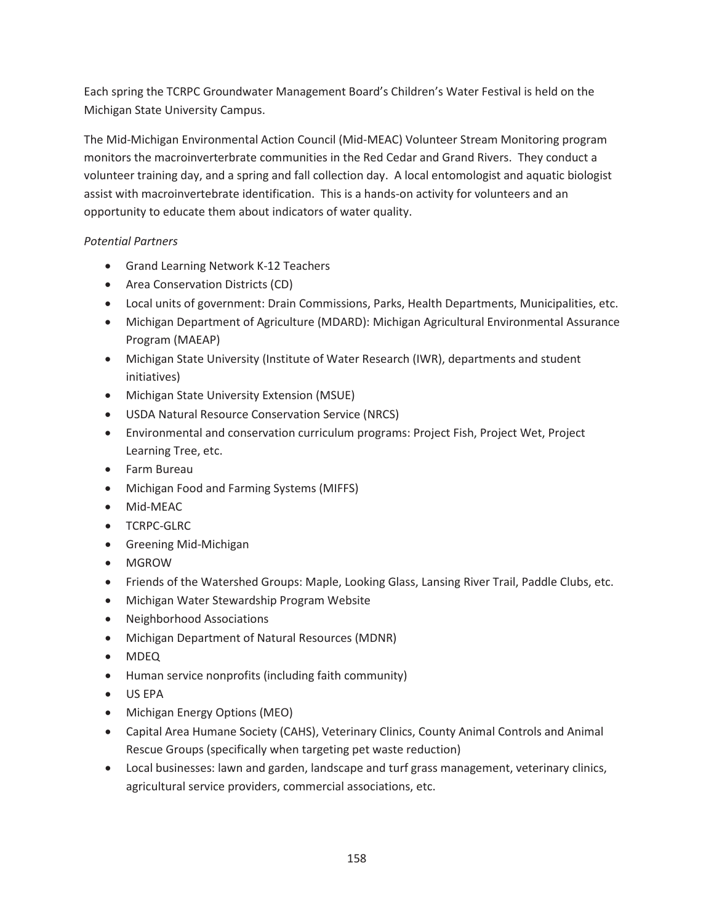Each spring the TCRPC Groundwater Management Board's Children's Water Festival is held on the Michigan State University Campus.

The Mid-Michigan Environmental Action Council (Mid-MEAC) Volunteer Stream Monitoring program monitors the macroinverterbrate communities in the Red Cedar and Grand Rivers. They conduct a volunteer training day, and a spring and fall collection day. A local entomologist and aquatic biologist assist with macroinvertebrate identification. This is a hands-on activity for volunteers and an opportunity to educate them about indicators of water quality.

## *Potential Partners*

- Grand Learning Network K-12 Teachers
- Area Conservation Districts (CD)
- Local units of government: Drain Commissions, Parks, Health Departments, Municipalities, etc.
- Michigan Department of Agriculture (MDARD): Michigan Agricultural Environmental Assurance Program (MAEAP)
- Michigan State University (Institute of Water Research (IWR), departments and student initiatives)
- Michigan State University Extension (MSUE)
- **USDA Natural Resource Conservation Service (NRCS)**
- Environmental and conservation curriculum programs: Project Fish, Project Wet, Project Learning Tree, etc.
- Farm Bureau
- Michigan Food and Farming Systems (MIFFS)
- Mid-MEAC
- **•** TCRPC-GLRC
- Greening Mid-Michigan
- MGROW
- Friends of the Watershed Groups: Maple, Looking Glass, Lansing River Trail, Paddle Clubs, etc.
- Michigan Water Stewardship Program Website
- Neighborhood Associations
- Michigan Department of Natural Resources (MDNR)
- MDEQ
- Human service nonprofits (including faith community)
- $\bullet$  US EPA
- Michigan Energy Options (MEO)
- Capital Area Humane Society (CAHS), Veterinary Clinics, County Animal Controls and Animal Rescue Groups (specifically when targeting pet waste reduction)
- Local businesses: lawn and garden, landscape and turf grass management, veterinary clinics, agricultural service providers, commercial associations, etc.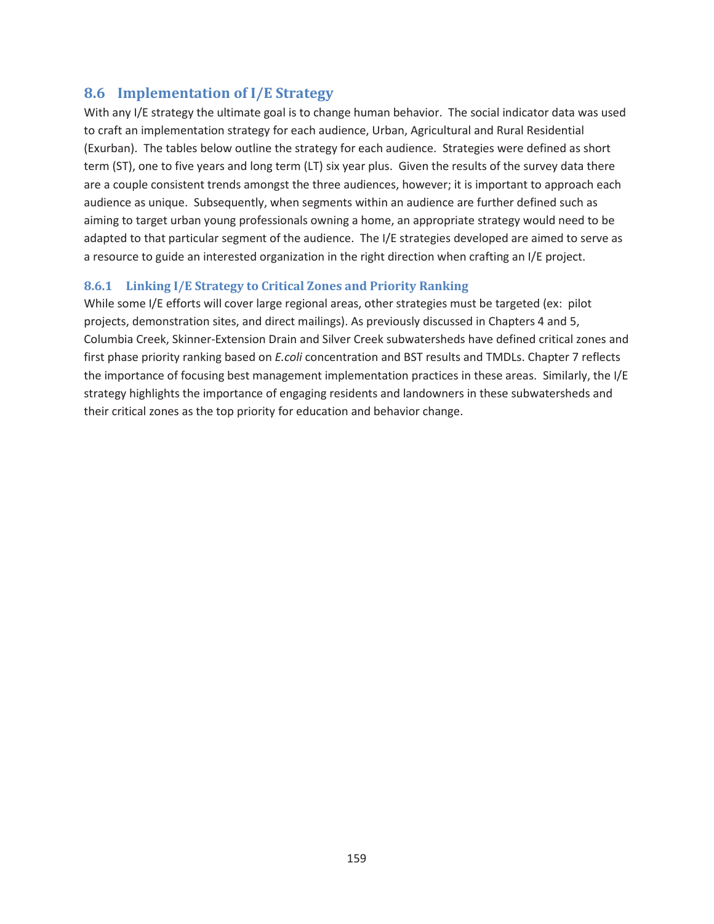## **8.6 Implementation of I/E Strategy**

With any I/E strategy the ultimate goal is to change human behavior. The social indicator data was used to craft an implementation strategy for each audience, Urban, Agricultural and Rural Residential (Exurban). The tables below outline the strategy for each audience. Strategies were defined as short term (ST), one to five years and long term (LT) six year plus. Given the results of the survey data there are a couple consistent trends amongst the three audiences, however; it is important to approach each audience as unique. Subsequently, when segments within an audience are further defined such as aiming to target urban young professionals owning a home, an appropriate strategy would need to be adapted to that particular segment of the audience. The I/E strategies developed are aimed to serve as a resource to guide an interested organization in the right direction when crafting an I/E project.

### **8.6.1 Linking I/E Strategy to Critical Zones and Priority Ranking**

While some I/E efforts will cover large regional areas, other strategies must be targeted (ex: pilot projects, demonstration sites, and direct mailings). As previously discussed in Chapters 4 and 5, Columbia Creek, Skinner-Extension Drain and Silver Creek subwatersheds have defined critical zones and first phase priority ranking based on *E.coli* concentration and BST results and TMDLs. Chapter 7 reflects the importance of focusing best management implementation practices in these areas. Similarly, the I/E strategy highlights the importance of engaging residents and landowners in these subwatersheds and their critical zones as the top priority for education and behavior change.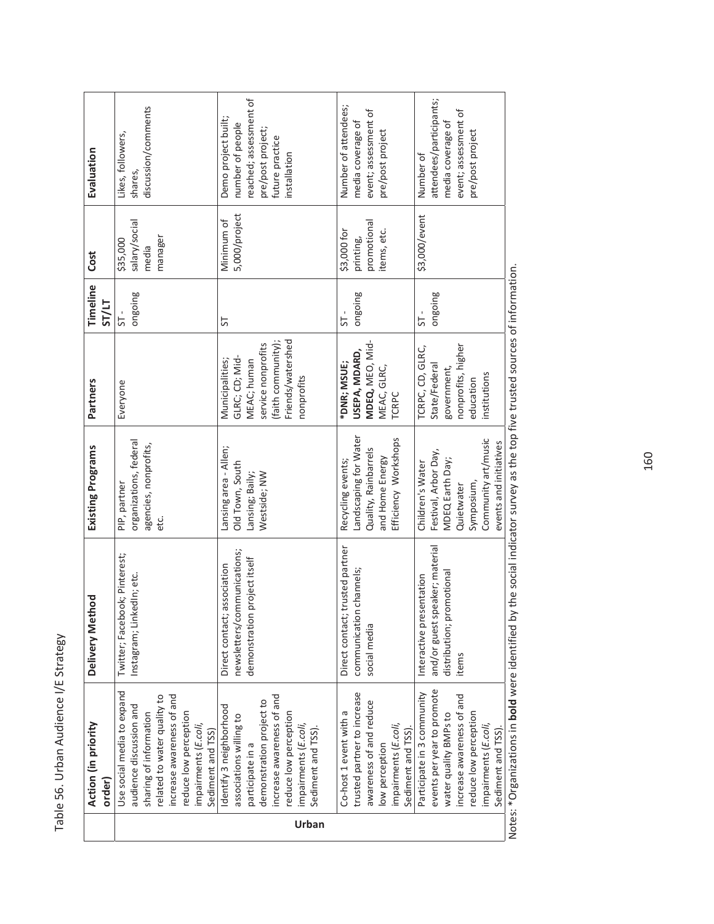Table 56. Urban Audience I/E Strategy Table 56. Urban Audience I/E Strategy

|       | Action (in priority         | Delivery Method                 | Existing Programs      | Partners           | Timeline     | Cost                       | Evaluation              |
|-------|-----------------------------|---------------------------------|------------------------|--------------------|--------------|----------------------------|-------------------------|
|       | order)                      |                                 |                        |                    | <b>ST/LT</b> |                            |                         |
|       | Use social media to expand  | Twitter; Facebook; Pinterest;   | PIP, partner           | Everyone           | 51           | \$35,000                   | Likes, followers,       |
|       | audience discussion and     | Instagram; LinkedIn; etc.       | organizations, federal |                    | aniogno      | salary/social              | shares,                 |
|       | sharing of information      |                                 | agencies, nonprofits,  |                    |              | media                      | discussion/comments     |
|       | related to water quality to |                                 | etc.                   |                    |              | manager                    |                         |
|       | increase awareness of and   |                                 |                        |                    |              |                            |                         |
|       | reduce low perception       |                                 |                        |                    |              |                            |                         |
|       | impairments (E.coli,        |                                 |                        |                    |              |                            |                         |
|       | Sediment and TSS)           |                                 |                        |                    |              |                            |                         |
|       | Identify 3 neighborhood     | association<br>Direct contact;  | Lansing area - Allen;  | Municipalities;    | 55           | Minimum of                 | Demo project built;     |
|       | associations willing to     | newsletters/communications;     | Old Town, South        | GLRC; CD; Mid-     |              | 5,000/project              | number of people        |
|       | participate in a            | project itself<br>demonstration | Lansing; Baily;        | MEAC; human        |              |                            | reached; assessment of  |
|       | demonstration project to    |                                 | Westside; NW           | service nonprofits |              |                            | pre/post project;       |
|       | increase awareness of and   |                                 |                        | (faith community); |              |                            | future practice         |
|       | reduce low perception       |                                 |                        | Friends/watershed  |              |                            | installation            |
|       | impairments (E.coli,        |                                 |                        | nonprofits         |              |                            |                         |
| Urban | Sediment and TSS).          |                                 |                        |                    |              |                            |                         |
|       |                             |                                 |                        |                    |              |                            |                         |
|       | Co-host 1 event with a      | Direct contact; trusted partner | Recycling events;      | *DNR; MSUE;        | 5            | \$3,000 for                | Number of attendees;    |
|       | trusted partner to increase | communication channels;         | Landscaping for Water  | USEPA, MDARD,      | anioguo      | printing,                  | media coverage of       |
|       | awareness of and reduce     | social media                    | Quality, Rainbarrels   | MDEQ, MEO, Mid-    |              |                            | event; assessment of    |
|       | low perception              |                                 | and Home Energy        | MEAC, GLRC,        |              | promotional<br>items, etc. | pre/post project        |
|       | impairments (E.coli,        |                                 | Efficiency Workshops   | <b>TCRPC</b>       |              |                            |                         |
|       | Sediment and TSS)           |                                 |                        |                    |              |                            |                         |
|       | Participate in 3 community  | Interactive presentation        | Children's Water       | TCRPC, CD, GLRC,   | 5            | \$3,000/event              | Number of               |
|       | events per year to promote  | and/or guest speaker; material  | Festival, Arbor Day,   | State/Federal      | ongoing      |                            | attendees/participants; |
|       | water quality BMPs to       | distribution; promotional       | MDEQ Earth Day;        | government,        |              |                            | media coverage of       |
|       | increase awareness of and   | items                           | Quietwater             | nonprofits, higher |              |                            | event; assessment of    |
|       | reduce low perception       |                                 | Symposium,             | education          |              |                            | pre/post project        |
|       | impairments (E.coli,        |                                 | Community art/music    | institutions       |              |                            |                         |
|       | Sediment and TSS)           |                                 | events and initiatives |                    |              |                            |                         |
|       |                             |                                 |                        |                    |              |                            |                         |

Notes: \*Organizations in **bold** were identified by the social indicator survey as the top five trusted sources of information. Notes: \*Organizations in **bold** were identified by the social indicator survey as the top five trusted sources of information.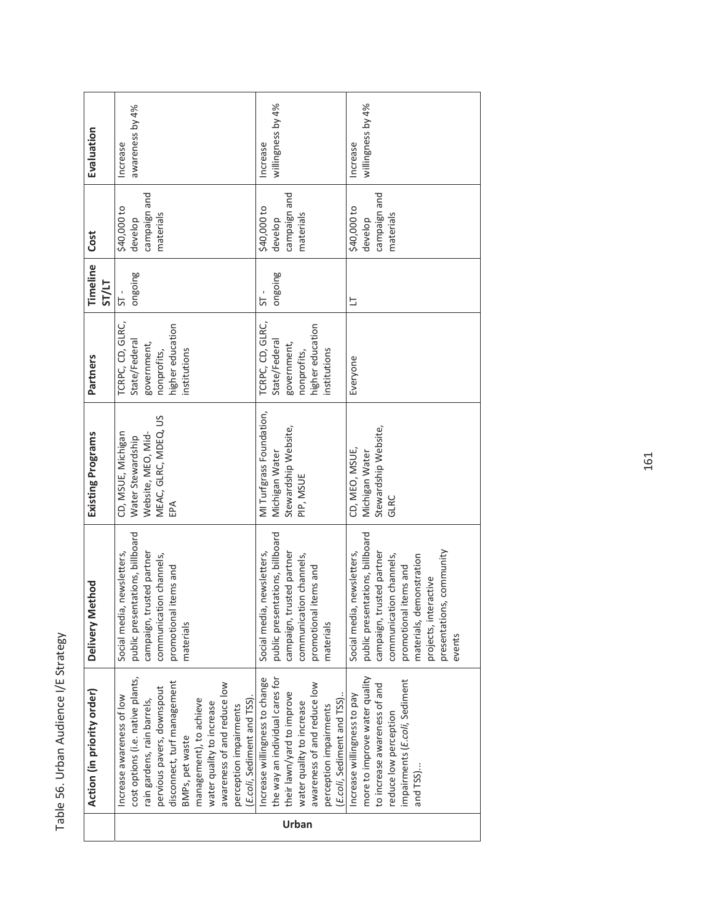|       | Action (in priority order)        | Method<br>Delivery              | Existing Programs        | Partners         | Timeline     | Cost         | Evaluation        |
|-------|-----------------------------------|---------------------------------|--------------------------|------------------|--------------|--------------|-------------------|
|       |                                   |                                 |                          |                  | <b>ST/LT</b> |              |                   |
|       | Increase awareness of low         | Social media, newsletters,      | CD, MSUE, Michigan       | TCRPC, CD, GLRC, | 51-          | \$40,000 to  | Increase          |
|       | cost options (i.e. native plants, | public presentations, billboard | Water Stewardship        | State/Federal    | ongoing      | develop      | awareness by 4%   |
|       | rain gardens, rain barrels,       | campaign, trusted partner       | Website, MEO, Mid-       | government,      |              | campaign and |                   |
|       | pervious pavers, downspout        | communication channels,         | MEAC, GLRC, MDEQ, US     | nonprofits,      |              | materials    |                   |
|       | disconnect, turf management       | promotional items and           | EPA                      | higher education |              |              |                   |
|       | BMPs, pet waste                   | materials                       |                          | institutions     |              |              |                   |
|       | management), to achieve           |                                 |                          |                  |              |              |                   |
|       | water quality to increase         |                                 |                          |                  |              |              |                   |
|       | awareness of and reduce low       |                                 |                          |                  |              |              |                   |
|       | perception impairments            |                                 |                          |                  |              |              |                   |
|       | (E.coli, Sediment and TSS)        |                                 |                          |                  |              |              |                   |
|       | Increase willingness to change    | Social media, newsletters,      | MI Turfgrass Foundation, | TCRPC, CD, GLRC, | $ST -$       | \$40,000 to  | Increase          |
|       | the way an individual cares for   | public presentations, billboard | Michigan Water           | State/Federal    | angoing      | develop      | willingness by 4% |
|       | their lawn/yard to improve        | campaign, trusted partner       | Stewardship Website,     | government,      |              | campaign and |                   |
| Urban | water quality to increase         | communication channels,         | PIP, MSUE                | nonprofits,      |              | materials    |                   |
|       | awareness of and reduce low       | promotional items and           |                          | higher education |              |              |                   |
|       | perception impairments            | materials                       |                          | institutions     |              |              |                   |
|       | (E.coli, Sediment and TSS)        |                                 |                          |                  |              |              |                   |
|       | Increase willingness to pay       | Social media, newsletters,      | CD, MEO, MSUE,           | Everyone         | Ë            | \$40,000 to  | Increase          |
|       | more to improve water quality     | public presentations, billboard | Michigan Water           |                  |              | develop      | willingness by 4% |
|       | to increase awareness of and      | campaign, trusted partner       | Stewardship Website,     |                  |              | campaign and |                   |
|       | reduce low perception             | communication channels,         | GLRC                     |                  |              | materials    |                   |
|       | impairments (E.coli, Sediment     | promotional items and           |                          |                  |              |              |                   |
|       | and TSS)                          | materials, demonstration        |                          |                  |              |              |                   |
|       |                                   | interactive<br>projects,        |                          |                  |              |              |                   |
|       |                                   | presentations, community        |                          |                  |              |              |                   |
|       |                                   | events                          |                          |                  |              |              |                   |
|       |                                   |                                 |                          |                  |              |              |                   |

Table 56. Urban Audience I/E Strategy Table 56. Urban Audience I/E Strategy

 $\overline{1}$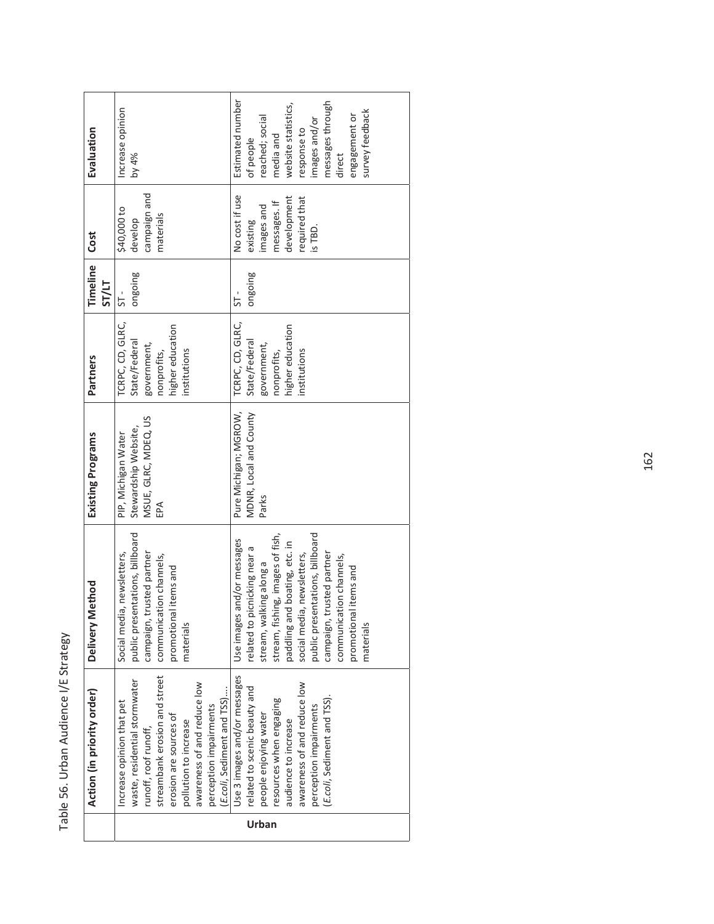| ١<br>j<br>í<br>J |
|------------------|
| ī                |
|                  |
| .<br>המות<br>)   |
| s<br>S           |
| J                |
| ì                |

|                            | Estimated number<br>messages through<br>website statistics,<br>Increase opinion<br>survey feedback                                                                                                                                                                                                                                                                                                                                                                                              |  |
|----------------------------|-------------------------------------------------------------------------------------------------------------------------------------------------------------------------------------------------------------------------------------------------------------------------------------------------------------------------------------------------------------------------------------------------------------------------------------------------------------------------------------------------|--|
| Evaluation                 | engagement or<br>reached; social<br>images and/or<br>response to<br>media and<br>of people<br>by 4%<br>direct                                                                                                                                                                                                                                                                                                                                                                                   |  |
| <b>Cost</b>                | campaign and<br>No cost if use<br>required that<br>development<br>messages. If<br>images and<br>\$40,000 to<br>materials<br>develop<br>existing<br>is TBD.                                                                                                                                                                                                                                                                                                                                      |  |
| Timeline<br>ST/LT          | ongoing<br>ongoing<br>5-<br>51                                                                                                                                                                                                                                                                                                                                                                                                                                                                  |  |
| Partners                   | TCRPC, CD, GLRC,<br>TCRPC, CD, GLRC,<br>higher education<br>higher education<br>State/Federal<br>State/Federal<br>government,<br>government,<br>institutions<br>institutions<br>nonprofits,<br>nonprofits,                                                                                                                                                                                                                                                                                      |  |
| Existing Programs          | Pure Michigan; MGROW,<br>MDNR, Local and County<br>MSUE, GLRC, MDEQ, US<br>Stewardship Website,<br>PIP, Michigan Water<br>Parks<br><b>A</b>                                                                                                                                                                                                                                                                                                                                                     |  |
| lethod<br>Delivery M       | public presentations, billboard<br>public presentations, billboard<br>stream, fishing, images of fish,<br>Use images and/or messages<br>paddling and boating, etc. in<br>related to picnicking near a<br>campaign, trusted partner<br>campaign, trusted partner<br>Social media, newsletters,<br>social media, newsletters,<br>communication channels,<br>communication channels,<br>stream, walking along a<br>promotional items and<br>promotional items and<br>materials<br>materials        |  |
| Action (in priority order) | Use 3 images and/or messages<br>streambank erosion and street<br>waste, residential stormwater<br>awareness of and reduce low<br>awareness of and reduce low<br>related to scenic beauty and<br>E.coli, Sediment and TSS)<br>E.coli, Sediment and TSS).<br>resources when engaging<br>Increase opinion that pet<br>perception impairments<br>perception impairments<br>erosion are sources of<br>people enjoying water<br>pollution to increase<br>audience to increase<br>runoff, roof runoff, |  |
|                            | Urban                                                                                                                                                                                                                                                                                                                                                                                                                                                                                           |  |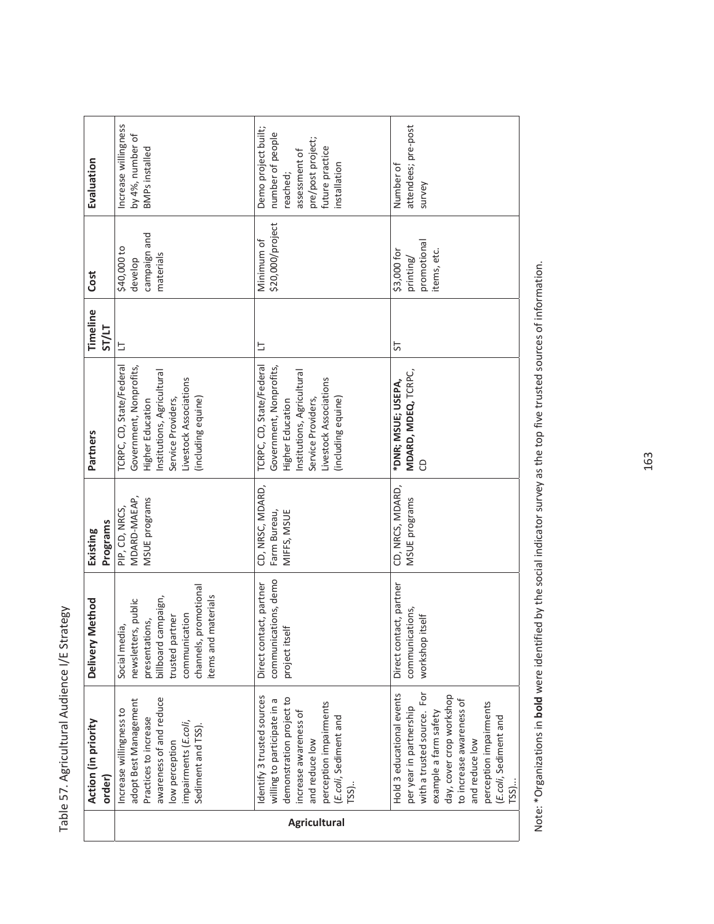|                     | Action (in priority<br>order)                                                                                                                                                                                                                       | Method<br>Delivery                                                                                                                                               | Programs<br>Existing                            | Partners                                                                                                                                                                    | Timeline<br><b>ST/LT</b> | Cost                                                   | Evaluation                                                                                                                   |
|---------------------|-----------------------------------------------------------------------------------------------------------------------------------------------------------------------------------------------------------------------------------------------------|------------------------------------------------------------------------------------------------------------------------------------------------------------------|-------------------------------------------------|-----------------------------------------------------------------------------------------------------------------------------------------------------------------------------|--------------------------|--------------------------------------------------------|------------------------------------------------------------------------------------------------------------------------------|
|                     | awareness of and reduce<br>adopt Best Management<br>Increase willingness to<br>Practices to increase<br>impairments (E.coli,<br>Sediment and TSS).<br>low perception                                                                                | channels, promotional<br>tems and materials<br>billboard campaign,<br>newsletters, public<br>communication<br>trusted partner<br>presentations,<br>Social media, | MDARD-MAEAP,<br>MSUE programs<br>PIP, CD, NRCS, | TCRPC, CD, State/Federal<br>Government, Nonprofits,<br>Institutions, Agricultural<br>Livestock Associations<br>Service Providers,<br>(including equine)<br>Higher Education | Ь                        | campaign and<br>\$40,000 to<br>materials<br>develop    | ncrease willingness<br>by 4%, number of<br><b>BMPs</b> installed                                                             |
| <b>Agricultural</b> | dentify 3 trusted sources<br>demonstration project to<br>willing to participate in a<br>perception impairments<br>increase awareness of<br>(E.coli, Sediment and<br>and reduce low<br>$TSS$ ).                                                      | communications, demo<br>Direct contact, partner<br>project itself                                                                                                | CD, NRSC, MDARD,<br>Farm Bureau,<br>MIFFS, MSUE | TCRPC, CD, State/Federal<br>Government, Nonprofits,<br>Institutions, Agricultural<br>Livestock Associations<br>(including equine)<br>Service Providers,<br>Higher Education | 与                        | \$20,000/project<br>Minimum of                         | Demo project built;<br>number of people<br>pre/post project;<br>future practice<br>assessment of<br>installation<br>reached; |
|                     | with a trusted source. For<br>Hold 3 educational events<br>day, cover crop workshop<br>to increase awareness of<br>perception impairments<br>per year in partnership<br>example a farm safety<br>(E.coli, Sediment and<br>and reduce low<br>$TSS$ ) | Direct contact, partner<br>communications,<br>workshop itself                                                                                                    | CD, NRCS, MDARD,<br>MSUE programs               | MDARD, MDEQ, TCRPC,<br>*DNR; MSUE; USEPA,<br>8                                                                                                                              | 55                       | promotional<br>items, etc.<br>\$3,000 for<br>printing/ | attendees; pre-post<br>Number of<br>survey                                                                                   |

Note: \*Organizations in bold were identified by the social indicator survey as the top five trusted sources of information. Note: \*Organizations in **bold** were identified by the social indicator survey as the top five trusted sources of information.

163

Table 57. Agricultural Audience I/E Strategy Table 57. Agricultural Audience I/E Strategy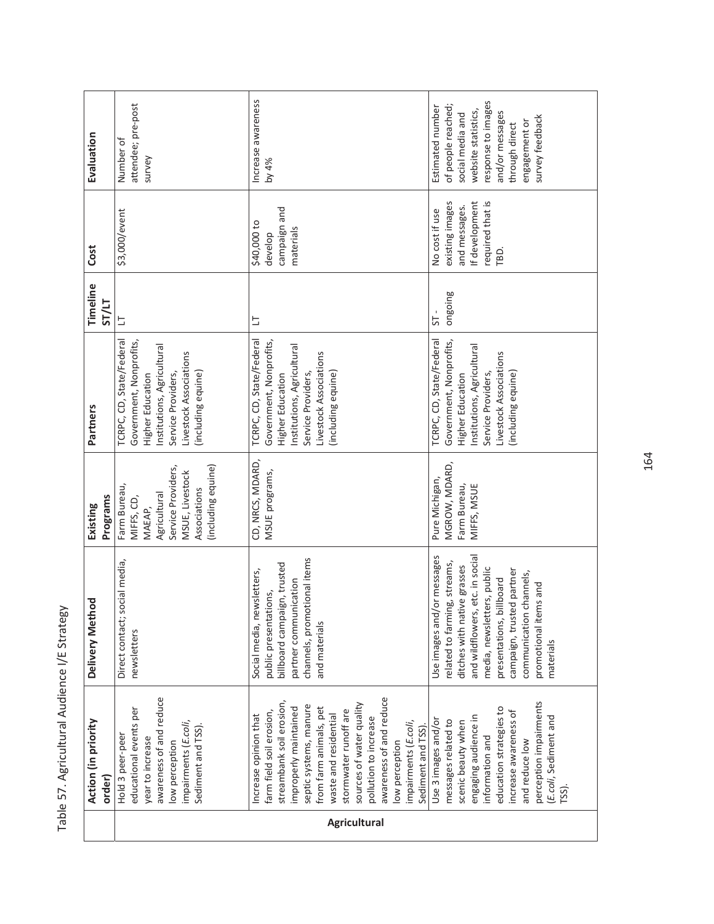| Evaluation                    | attendee; pre-post<br>Number of<br>survey                                                                                                                                   | Increase awareness<br>by 4%                                                                                                                                                                                                                                                                                                                                 | response to images<br>Estimated number<br>of people reached;<br>website statistics,<br>and/or messages<br>social media and<br>survey feedback<br>engagement or<br>through direct                                                                                                     |
|-------------------------------|-----------------------------------------------------------------------------------------------------------------------------------------------------------------------------|-------------------------------------------------------------------------------------------------------------------------------------------------------------------------------------------------------------------------------------------------------------------------------------------------------------------------------------------------------------|--------------------------------------------------------------------------------------------------------------------------------------------------------------------------------------------------------------------------------------------------------------------------------------|
| Cost                          | \$3,000/event                                                                                                                                                               | campaign and<br>\$40,000 to<br>materials<br>develop                                                                                                                                                                                                                                                                                                         | required that is<br>existing images<br>If development<br>and messages.<br>No cost if use<br>TBD.                                                                                                                                                                                     |
| Timeline<br><b>ST/LT</b>      | 与                                                                                                                                                                           | 브                                                                                                                                                                                                                                                                                                                                                           | ongoing<br>5                                                                                                                                                                                                                                                                         |
| Partners                      | TCRPC, CD, State/Federal<br>Government, Nonprofits,<br>Institutions, Agricultural<br>Livestock Associations<br>(including equine)<br>Service Providers,<br>Higher Education | TCRPC, CD, State/Federal<br>Government, Nonprofits,<br>Institutions, Agricultural<br>Livestock Associations<br>(including equine)<br>Service Providers,<br>Higher Education                                                                                                                                                                                 | TCRPC, CD, State/Federal<br>Government, Nonprofits,<br>Institutions, Agricultural<br>Livestock Associations<br>(including equine)<br>Service Providers,<br>Higher Education                                                                                                          |
| Programs<br>Existing          | (including equine)<br>Service Providers,<br>MSUE, Livestock<br>Farm Bureau,<br>Associations<br>Agricultural<br>MIFFS, CD,<br>MAEAP,                                         | CD, NRCS, MDARD,<br>MSUE programs,                                                                                                                                                                                                                                                                                                                          | MGROW, MDARD,<br>Pure Michigan,<br>MIFFS, MSUE<br>Farm Bureau,                                                                                                                                                                                                                       |
| Delivery Method               | social media,<br>Direct contact;<br>newsletters                                                                                                                             | channels, promotional items<br>billboard campaign, trusted<br>Social media, newsletters,<br>partner communication<br>public presentations,<br>and materials                                                                                                                                                                                                 | Use images and/or messages<br>and wildflowers, etc. in social<br>related to farming, streams,<br>ditches with native grasses<br>media, newsletters, public<br>campaign, trusted partner<br>communication channels,<br>presentations, billboard<br>promotional items and<br>materials |
| Action (in priority<br>order) | awareness of and reduce<br>educational events per<br>impairments (E.coli,<br>Sediment and TSS).<br>Hold 3 peer-peer<br>year to increase<br>low perception                   | awareness of and reduce<br>streambank soil erosion,<br>sources of water quality<br>septic systems, manure<br>improperly maintained<br>from farm animals, pet<br>stormwater runoff are<br>farm field soil erosion,<br>waste and residential<br>Increase opinion that<br>pollution to increase<br>impairments (E.coli,<br>Sediment and TSS)<br>low perception | perception impairments<br>education strategies to<br>increase awareness of<br>engaging audience in<br>(E.coli, Sediment and<br>Use 3 images and/or<br>messages related to<br>scenic beauty when<br>information and<br>and reduce low<br>TSS)                                         |
|                               |                                                                                                                                                                             | <b>Agricultural</b>                                                                                                                                                                                                                                                                                                                                         |                                                                                                                                                                                                                                                                                      |

Table 57. Agricultural Audience I/E Strategy Table 57. Agricultural Audience I/E Strategy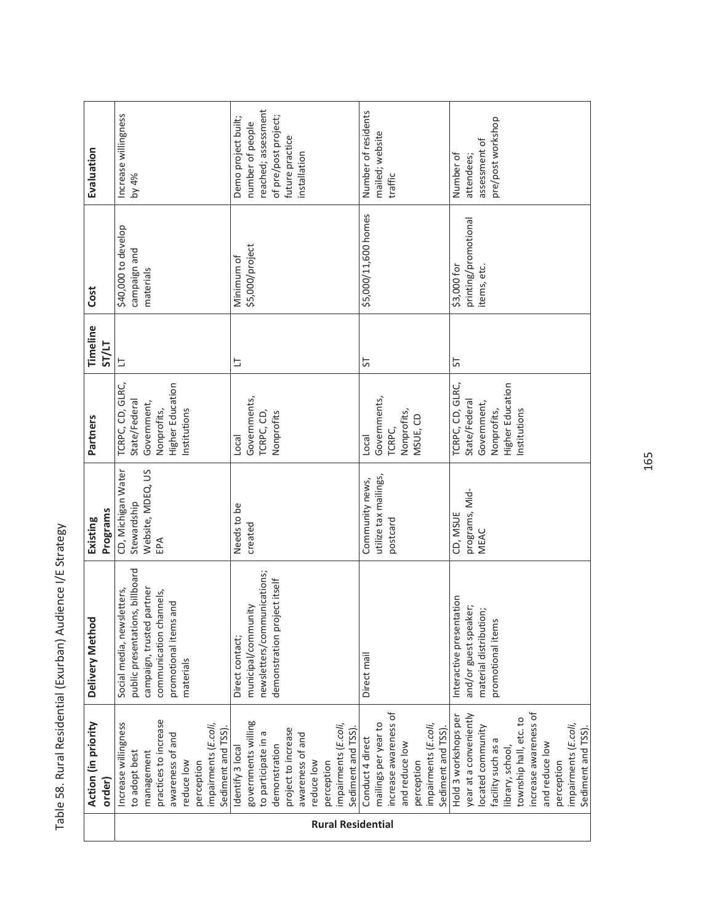|                          | Action (in priority<br>order                                                                                                                                                                                                                     | ਨੂ<br>Delivery Metho                                                                                                                                        | Programs<br>Existing                                          | Partners                                                                                            | Timeline<br><b>ST/LT</b> | Cost                                               | Evaluation                                                                                                                |
|--------------------------|--------------------------------------------------------------------------------------------------------------------------------------------------------------------------------------------------------------------------------------------------|-------------------------------------------------------------------------------------------------------------------------------------------------------------|---------------------------------------------------------------|-----------------------------------------------------------------------------------------------------|--------------------------|----------------------------------------------------|---------------------------------------------------------------------------------------------------------------------------|
|                          | practices to increase<br>Increase willingness<br>impairments (E.coli,<br>Sediment and TSS<br>awareness of and<br>to adopt best<br>management<br>reduce low<br>perception                                                                         | public presentations, billboard<br>campaign, trusted partner<br>Social media, newsletters,<br>communication channels,<br>promotional items and<br>materials | CD, Michigan Water<br>Website, MDEQ, US<br>Stewardship<br>EPA | TCRPC, CD, GLRC,<br>Higher Education<br>State/Federal<br>Government,<br>Nonprofits,<br>Institutions | s                        | \$40,000 to develop<br>campaign and<br>materials   | Increase willingness<br>by 4%                                                                                             |
| <b>Rural Residential</b> | governments willing<br>impairments (E.coli,<br>project to increase<br>Sediment and TSS)<br>to participate in a<br>awareness of and<br>demonstration<br>Identify 3 local<br>reduce low<br>perception                                              | newsletters/communications;<br>demonstration project itself<br>municipal/community<br>Direct contact;                                                       | Needs to be<br>created                                        | Governments,<br>TCRPC, CD,<br>Vonprofits<br>Local                                                   | Þ                        | \$5,000/project<br>Minimum of                      | reached; assessment<br>Demo project built;<br>of pre/post project;<br>number of people<br>future practice<br>installation |
|                          | increase awareness of<br>mailings per year to<br>impairments (E.coli,<br>Sediment and TSS)<br>Conduct 4 direct<br>and reduce low<br>perception                                                                                                   | Direct mail                                                                                                                                                 | utilize tax mailings,<br>Community news,<br>postcard          | Governments,<br>Nonprofits,<br>MSUE, CD<br>TCRPC,<br>Local                                          | 5                        | \$5,000/11,600 homes                               | Number of residents<br>mailed; website<br>traffic                                                                         |
|                          | increase awareness of<br>year at a conveniently<br>Hold 3 workshops per<br>township hall, etc. to<br>impairments (E.coli,<br>located community<br>Sediment and TSS)<br>Б<br>and reduce low<br>facility such as<br>library, school,<br>perception | Interactive presentation<br>and/or guest speaker;<br>material distribution;<br>promotional items                                                            | programs, Mid-<br>CD, MSUE<br>MEAC                            | Higher Education<br>TCRPC, CD, GLRC,<br>State/Federal<br>Government,<br>Institutions<br>Nonprofits, | 5                        | printing/promotional<br>\$3,000 for<br>items, etc. | pre/post workshop<br>assessment of<br>Number of<br>attendees;                                                             |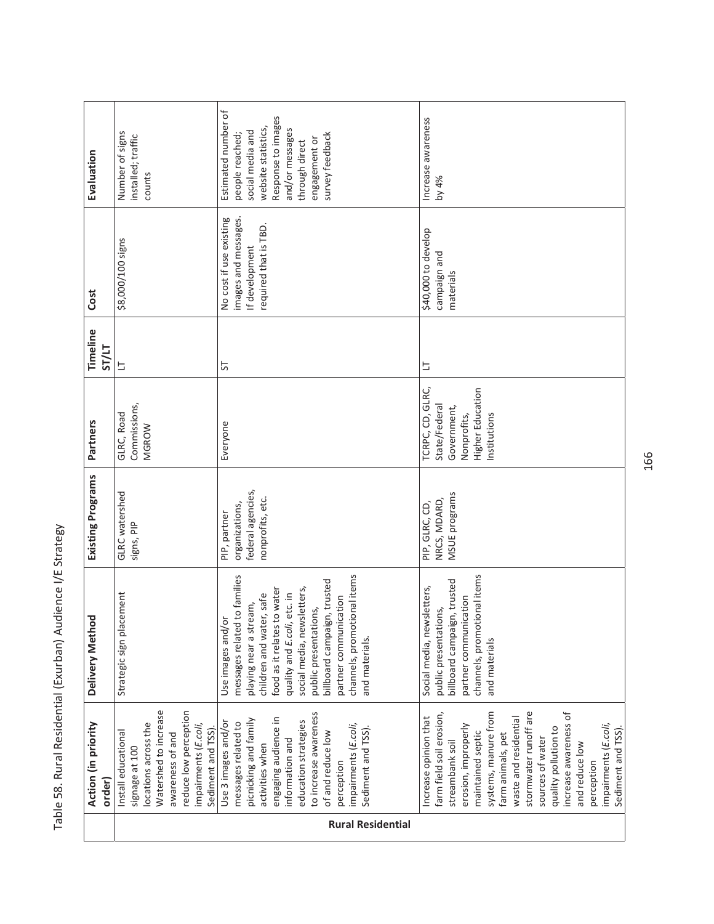|                          | Action (in priority<br>order)                                                                                                                                                                                                                                                                                                                                      | ğ<br>Delivery Meth                                                                                                                                                                                                                                                                                                                    | Existing Programs                                                       | Partners                                                                                                   | Timeline<br><b>ST/LT</b> | Cost                                                                                       | Evaluation                                                                                                                                                                       |
|--------------------------|--------------------------------------------------------------------------------------------------------------------------------------------------------------------------------------------------------------------------------------------------------------------------------------------------------------------------------------------------------------------|---------------------------------------------------------------------------------------------------------------------------------------------------------------------------------------------------------------------------------------------------------------------------------------------------------------------------------------|-------------------------------------------------------------------------|------------------------------------------------------------------------------------------------------------|--------------------------|--------------------------------------------------------------------------------------------|----------------------------------------------------------------------------------------------------------------------------------------------------------------------------------|
|                          | Watershed to increase<br>reduce low perception<br>locations across the<br>impairments (E.coli,<br>Sediment and TSS)<br>Install educational<br>awareness of and<br>signage at 100                                                                                                                                                                                   | acement<br>Strategic sign pl                                                                                                                                                                                                                                                                                                          | GLRC watershed<br>signs, PIP                                            | Commissions,<br>GLRC, Road<br>MGROW                                                                        | E                        | \$8,000/100 signs                                                                          | Number of signs<br>installed; traffic<br>counts                                                                                                                                  |
| <b>Rural Residential</b> | to increase awareness<br>engaging audience in<br>picnicking and family<br>education strategies<br>Use 3 images and/or<br>messages related to<br>impairments (E.coli,<br>Sediment and TSS).<br>of and reduce low<br>information and<br>activities when<br>perception                                                                                                | channels, promotional items<br>messages related to families<br>billboard campaign, trusted<br>social media, newsletters,<br>food as it relates to water<br>quality and E.coli, etc. in<br>children and water, safe<br>partner communication<br>playing near a stream,<br>public presentations,<br>Use images and/or<br>and materials. | federal agencies,<br>nonprofits, etc.<br>organizations,<br>PIP, partner | Everyone                                                                                                   | 5                        | No cost if use existing<br>images and messages.<br>required that is TBD.<br>If development | Estimated number of<br>Response to images<br>website statistics,<br>and/or messages<br>social media and<br>survey feedback<br>people reached;<br>engagement or<br>through direct |
|                          | stormwater runoff are<br>systems, manure from<br>increase awareness of<br>farm field soil erosion,<br>Increase opinion that<br>waste and residential<br>impairments (E.coli,<br>erosion, improperly<br>Sediment and TSS).<br>quality pollution to<br>maintained septic<br>farm animals, pet<br>sources of water<br>streambank soil<br>and reduce low<br>perception | channels, promotional items<br>billboard campaign, trusted<br>Social media, newsletters,<br>partner communication<br>public presentations,<br>and materials                                                                                                                                                                           | MSUE programs<br>NRCS, MDARD,<br>PIP, GLRC, CD,                         | TCRPC, CD, GLRC,<br><b>Higher Education</b><br>State/Federal<br>Government,<br>Institutions<br>Nonprofits, | 브                        | \$40,000 to develop<br>campaign and<br>materials                                           | Increase awareness<br>by 4%                                                                                                                                                      |

Table 58. Rural Residential (Exurban) Audience I/E Strategy Table 58. Rural Residential (Exurban) Audience I/E Strategy

166